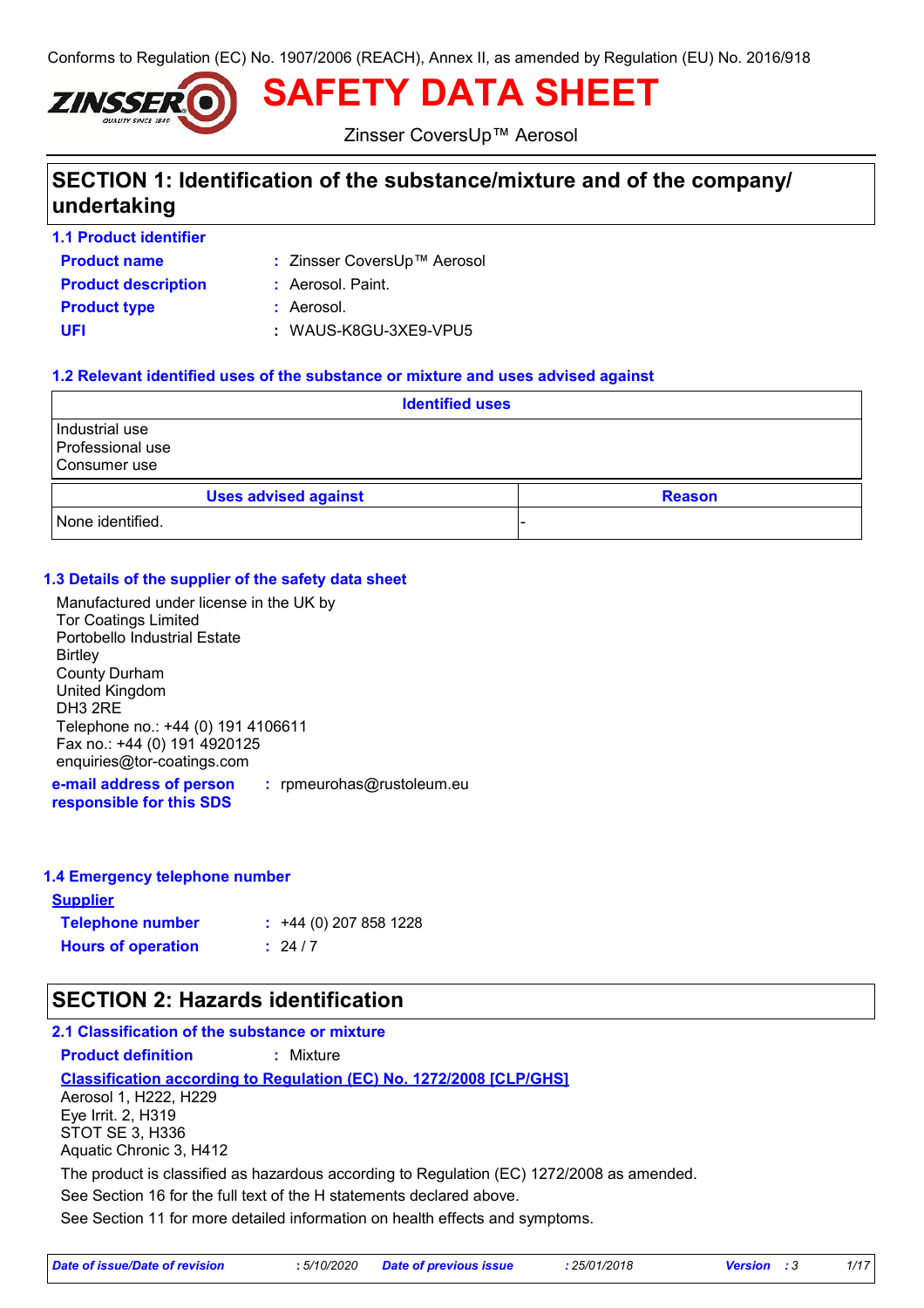Conforms to Regulation (EC) No. 1907/2006 (REACH), Annex II, as amended by Regulation (EU) No. 2016/918



**SAFETY DATA SHEET**

Zinsser CoversUp™ Aerosol

# **SECTION 1: Identification of the substance/mixture and of the company/ undertaking**

**1.1 Product identifier**

- **Product name**
- Zinsser CoversUp™ Aerosol **:**

**Product type :** Aerosol. **Product description :** Aerosol. Paint.

**UFI :** WAUS-K8GU-3XE9-VPU5

## **1.2 Relevant identified uses of the substance or mixture and uses advised against**

| <b>Identified uses</b>                             |               |  |
|----------------------------------------------------|---------------|--|
| Industrial use<br>Professional use<br>Consumer use |               |  |
| <b>Uses advised against</b>                        | <b>Reason</b> |  |
| None identified.                                   |               |  |

## **1.3 Details of the supplier of the safety data sheet**

Manufactured under license in the UK by Tor Coatings Limited Portobello Industrial Estate **Birtley** County Durham United Kingdom DH3 2RE Telephone no.: +44 (0) 191 4106611 Fax no.: +44 (0) 191 4920125 enquiries@tor-coatings.com

**e-mail address of person responsible for this SDS :** rpmeurohas@rustoleum.eu

## **1.4 Emergency telephone number**

**Supplier Telephone number : Hours of operation :**  $: 24/7$  $\div$  +44 (0) 207 858 1228

# **SECTION 2: Hazards identification**

See Section 11 for more detailed information on health effects and symptoms. **Classification according to Regulation (EC) No. 1272/2008 [CLP/GHS] 2.1 Classification of the substance or mixture Product definition :** Mixture See Section 16 for the full text of the H statements declared above. Aerosol 1, H222, H229 Eye Irrit. 2, H319 STOT SE 3, H336 Aquatic Chronic 3, H412 The product is classified as hazardous according to Regulation (EC) 1272/2008 as amended.

|  | Date of issue/Date of revision |  | : 5/10/2020 Date of previous issue | 25/01/2018 | <b>Version</b> : 3 |  |
|--|--------------------------------|--|------------------------------------|------------|--------------------|--|
|--|--------------------------------|--|------------------------------------|------------|--------------------|--|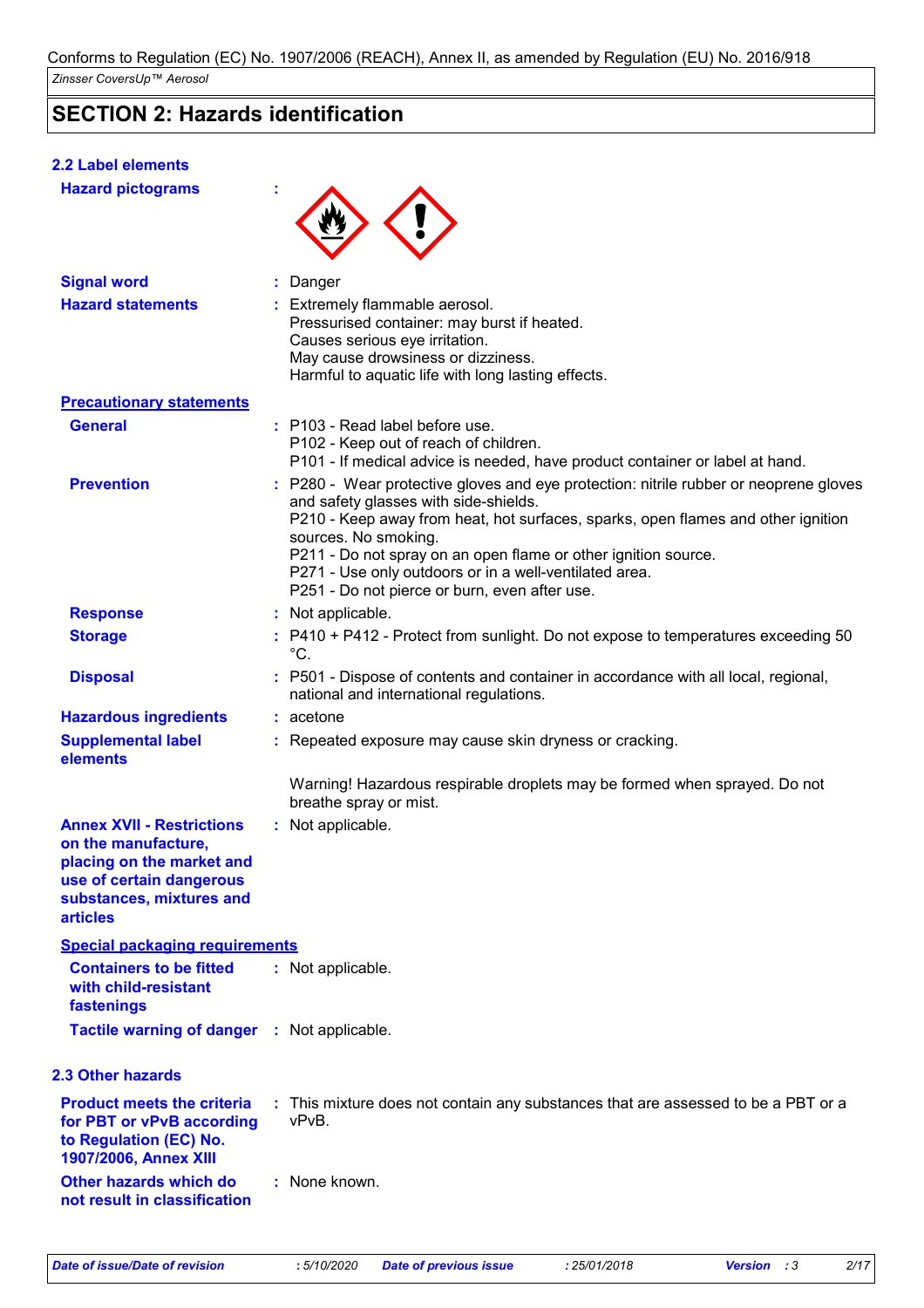# **SECTION 2: Hazards identification**

# **2.2 Label elements**

**Hazard pictograms :**



| <b>Signal word</b>                                                                                                                                              | : Danger                                                                                                                                                                                                                                                                                                                                                                                                                |
|-----------------------------------------------------------------------------------------------------------------------------------------------------------------|-------------------------------------------------------------------------------------------------------------------------------------------------------------------------------------------------------------------------------------------------------------------------------------------------------------------------------------------------------------------------------------------------------------------------|
| <b>Hazard statements</b>                                                                                                                                        | : Extremely flammable aerosol.<br>Pressurised container: may burst if heated.<br>Causes serious eye irritation.<br>May cause drowsiness or dizziness.<br>Harmful to aquatic life with long lasting effects.                                                                                                                                                                                                             |
| <b>Precautionary statements</b>                                                                                                                                 |                                                                                                                                                                                                                                                                                                                                                                                                                         |
| <b>General</b>                                                                                                                                                  | : P103 - Read label before use.<br>P102 - Keep out of reach of children.<br>P101 - If medical advice is needed, have product container or label at hand.                                                                                                                                                                                                                                                                |
| <b>Prevention</b>                                                                                                                                               | : P280 - Wear protective gloves and eye protection: nitrile rubber or neoprene gloves<br>and safety glasses with side-shields.<br>P210 - Keep away from heat, hot surfaces, sparks, open flames and other ignition<br>sources. No smoking.<br>P211 - Do not spray on an open flame or other ignition source.<br>P271 - Use only outdoors or in a well-ventilated area.<br>P251 - Do not pierce or burn, even after use. |
| <b>Response</b>                                                                                                                                                 | : Not applicable.                                                                                                                                                                                                                                                                                                                                                                                                       |
| <b>Storage</b>                                                                                                                                                  | : P410 + P412 - Protect from sunlight. Do not expose to temperatures exceeding 50<br>$^{\circ}C.$                                                                                                                                                                                                                                                                                                                       |
| <b>Disposal</b>                                                                                                                                                 | : P501 - Dispose of contents and container in accordance with all local, regional,<br>national and international regulations.                                                                                                                                                                                                                                                                                           |
| <b>Hazardous ingredients</b>                                                                                                                                    | $:$ acetone                                                                                                                                                                                                                                                                                                                                                                                                             |
| <b>Supplemental label</b><br>elements                                                                                                                           | : Repeated exposure may cause skin dryness or cracking.                                                                                                                                                                                                                                                                                                                                                                 |
|                                                                                                                                                                 | Warning! Hazardous respirable droplets may be formed when sprayed. Do not<br>breathe spray or mist.                                                                                                                                                                                                                                                                                                                     |
| <b>Annex XVII - Restrictions</b><br>on the manufacture,<br>placing on the market and<br>use of certain dangerous<br>substances, mixtures and<br><b>articles</b> | : Not applicable.                                                                                                                                                                                                                                                                                                                                                                                                       |
| <b>Special packaging requirements</b>                                                                                                                           |                                                                                                                                                                                                                                                                                                                                                                                                                         |
| <b>Containers to be fitted</b><br>with child-resistant<br>fastenings                                                                                            | : Not applicable.                                                                                                                                                                                                                                                                                                                                                                                                       |
| <b>Tactile warning of danger : Not applicable.</b>                                                                                                              |                                                                                                                                                                                                                                                                                                                                                                                                                         |
| 2.3 Other hazards                                                                                                                                               |                                                                                                                                                                                                                                                                                                                                                                                                                         |
| <b>Product meets the criteria</b><br>for PBT or vPvB according<br>to Regulation (EC) No.<br>1907/2006, Annex XIII                                               | : This mixture does not contain any substances that are assessed to be a PBT or a<br>vPvB.                                                                                                                                                                                                                                                                                                                              |
| Other hazards which do<br>not result in classification                                                                                                          | : None known.                                                                                                                                                                                                                                                                                                                                                                                                           |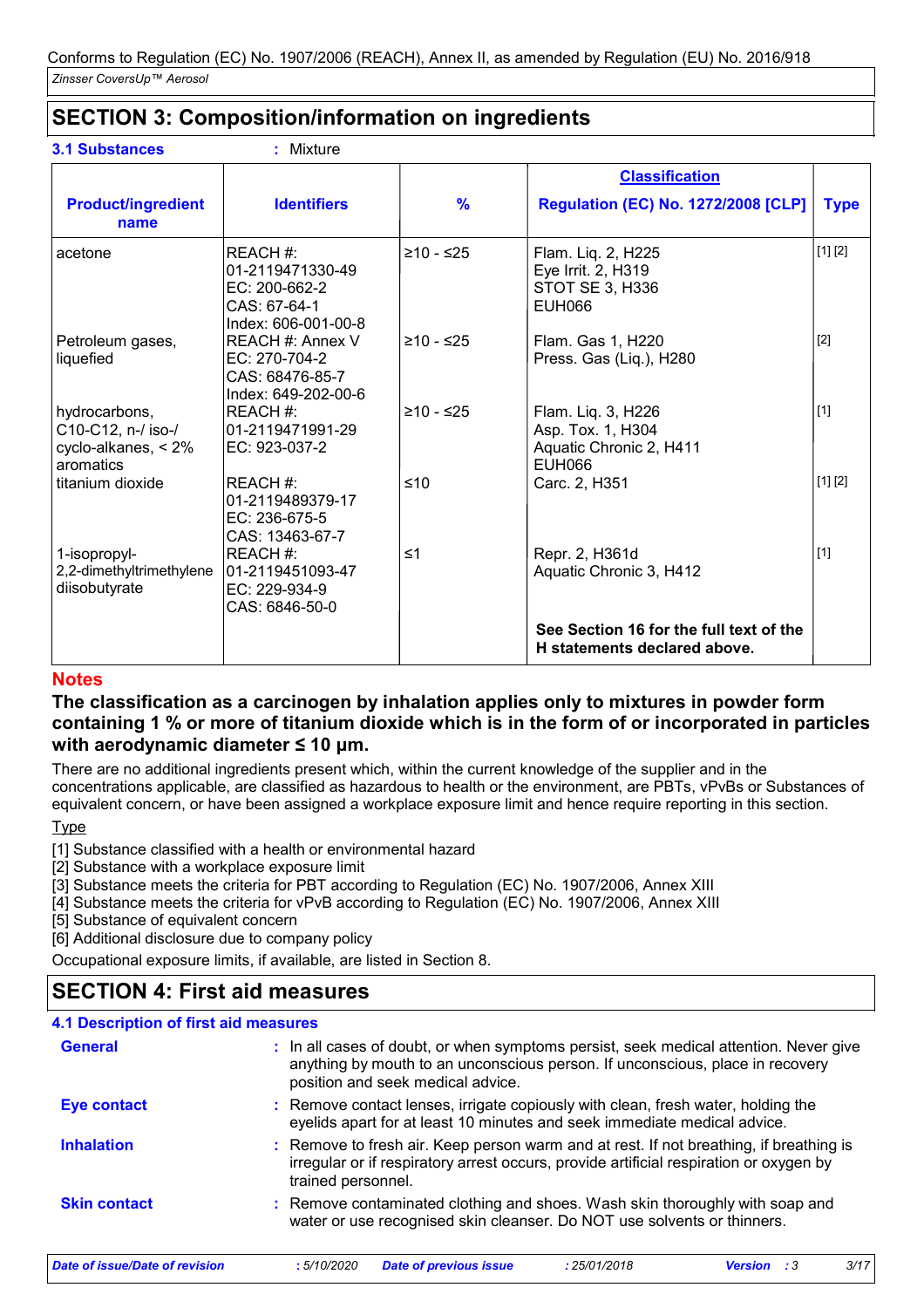# **SECTION 3: Composition/information on ingredients**

**3.1 Substances :** Mixture

|                                                                            |                                                                                       |               | <b>Classification</b>                                                               |             |
|----------------------------------------------------------------------------|---------------------------------------------------------------------------------------|---------------|-------------------------------------------------------------------------------------|-------------|
| <b>Product/ingredient</b><br>name                                          | <b>Identifiers</b>                                                                    | $\frac{9}{6}$ | <b>Regulation (EC) No. 1272/2008 [CLP]</b>                                          | <b>Type</b> |
| acetone                                                                    | REACH#:<br>01-2119471330-49<br>$EC: 200-662-2$<br>CAS: 67-64-1<br>Index: 606-001-00-8 | $≥10 - ≤25$   | Flam. Liq. 2, H225<br>Eye Irrit. 2, H319<br>STOT SE 3, H336<br>EUH066               | [1] [2]     |
| Petroleum gases,<br>liquefied                                              | <b>REACH #: Annex V</b><br>EC: 270-704-2<br>CAS: 68476-85-7<br>Index: 649-202-00-6    | ≥10 - ≤25     | Flam. Gas 1, H220<br>Press. Gas (Liq.), H280                                        | $[2]$       |
| hydrocarbons,<br>C10-C12, n-/ iso-/<br>cyclo-alkanes, $< 2\%$<br>aromatics | REACH#:<br>101-2119471991-29<br>EC: 923-037-2                                         | ≥10 - ≤25     | Flam. Liq. 3, H226<br>Asp. Tox. 1, H304<br>Aquatic Chronic 2, H411<br><b>EUH066</b> | $[1]$       |
| titanium dioxide                                                           | REACH#:<br>01-2119489379-17<br>EC: 236-675-5<br>CAS: 13463-67-7                       | ≤10           | Carc. 2, H351                                                                       | [1] [2]     |
| 1-isopropyl-<br>2,2-dimethyltrimethylene<br>diisobutyrate                  | REACH#:<br>01-2119451093-47<br>EC: 229-934-9<br>CAS: 6846-50-0                        | $\leq 1$      | Repr. 2, H361d<br>Aquatic Chronic 3, H412                                           | $[1]$       |
|                                                                            |                                                                                       |               | See Section 16 for the full text of the<br>H statements declared above.             |             |

## **Notes**

## **The classification as a carcinogen by inhalation applies only to mixtures in powder form containing 1 % or more of titanium dioxide which is in the form of or incorporated in particles with aerodynamic diameter ≤ 10 μm.**

There are no additional ingredients present which, within the current knowledge of the supplier and in the concentrations applicable, are classified as hazardous to health or the environment, are PBTs, vPvBs or Substances of equivalent concern, or have been assigned a workplace exposure limit and hence require reporting in this section.

## Type

- [1] Substance classified with a health or environmental hazard
- [2] Substance with a workplace exposure limit
- [3] Substance meets the criteria for PBT according to Regulation (EC) No. 1907/2006, Annex XIII
- [4] Substance meets the criteria for vPvB according to Regulation (EC) No. 1907/2006, Annex XIII
- [5] Substance of equivalent concern
- [6] Additional disclosure due to company policy

Occupational exposure limits, if available, are listed in Section 8.

# **SECTION 4: First aid measures**

## **4.1 Description of first aid measures**

| Date of issue/Date of revision | <b>Date of previous issue</b><br>:5/10/2020<br>: 25/01/2018<br>- : 3<br>Version                                                                                                                             | 3/17 |
|--------------------------------|-------------------------------------------------------------------------------------------------------------------------------------------------------------------------------------------------------------|------|
| <b>Skin contact</b>            | : Remove contaminated clothing and shoes. Wash skin thoroughly with soap and<br>water or use recognised skin cleanser. Do NOT use solvents or thinners.                                                     |      |
| <b>Inhalation</b>              | : Remove to fresh air. Keep person warm and at rest. If not breathing, if breathing is<br>irregular or if respiratory arrest occurs, provide artificial respiration or oxygen by<br>trained personnel.      |      |
| Eye contact                    | : Remove contact lenses, irrigate copiously with clean, fresh water, holding the<br>eyelids apart for at least 10 minutes and seek immediate medical advice.                                                |      |
| <b>General</b>                 | : In all cases of doubt, or when symptoms persist, seek medical attention. Never give<br>anything by mouth to an unconscious person. If unconscious, place in recovery<br>position and seek medical advice. |      |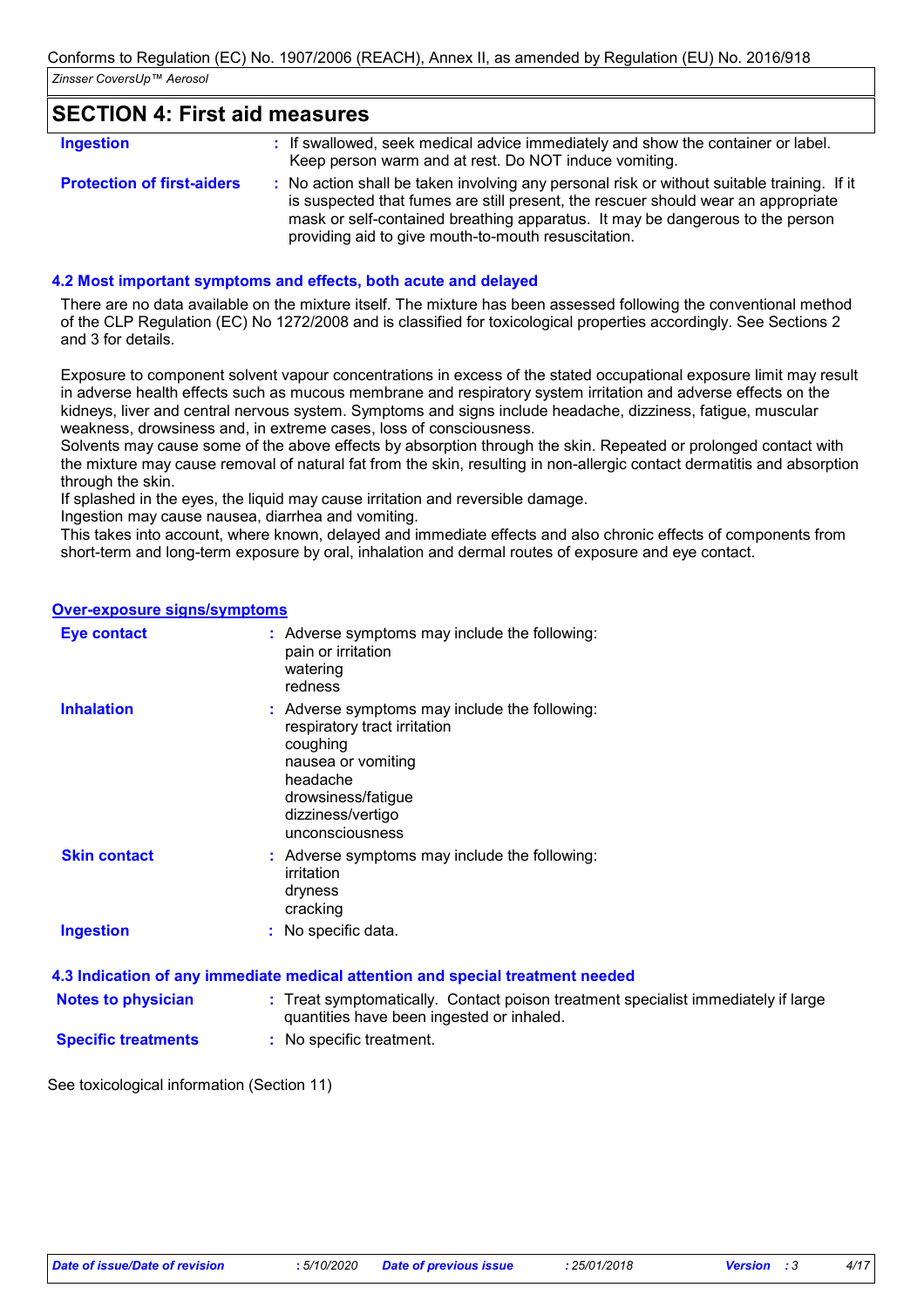## **SECTION 4: First aid measures**

| <b>Ingestion</b>                  | : If swallowed, seek medical advice immediately and show the container or label.<br>Keep person warm and at rest. Do NOT induce vomiting.                                                                                                                                                                               |
|-----------------------------------|-------------------------------------------------------------------------------------------------------------------------------------------------------------------------------------------------------------------------------------------------------------------------------------------------------------------------|
| <b>Protection of first-aiders</b> | : No action shall be taken involving any personal risk or without suitable training. If it<br>is suspected that fumes are still present, the rescuer should wear an appropriate<br>mask or self-contained breathing apparatus. It may be dangerous to the person<br>providing aid to give mouth-to-mouth resuscitation. |

### **4.2 Most important symptoms and effects, both acute and delayed**

There are no data available on the mixture itself. The mixture has been assessed following the conventional method of the CLP Regulation (EC) No 1272/2008 and is classified for toxicological properties accordingly. See Sections 2 and 3 for details.

Exposure to component solvent vapour concentrations in excess of the stated occupational exposure limit may result in adverse health effects such as mucous membrane and respiratory system irritation and adverse effects on the kidneys, liver and central nervous system. Symptoms and signs include headache, dizziness, fatigue, muscular weakness, drowsiness and, in extreme cases, loss of consciousness.

Solvents may cause some of the above effects by absorption through the skin. Repeated or prolonged contact with the mixture may cause removal of natural fat from the skin, resulting in non-allergic contact dermatitis and absorption through the skin.

If splashed in the eyes, the liquid may cause irritation and reversible damage.

Ingestion may cause nausea, diarrhea and vomiting.

This takes into account, where known, delayed and immediate effects and also chronic effects of components from short-term and long-term exposure by oral, inhalation and dermal routes of exposure and eye contact.

#### **Over-exposure signs/symptoms**

| <b>Eye contact</b>  | : Adverse symptoms may include the following:<br>pain or irritation<br>watering<br>redness                                                                                                |
|---------------------|-------------------------------------------------------------------------------------------------------------------------------------------------------------------------------------------|
| <b>Inhalation</b>   | : Adverse symptoms may include the following:<br>respiratory tract irritation<br>coughing<br>nausea or vomiting<br>headache<br>drowsiness/fatigue<br>dizziness/vertigo<br>unconsciousness |
| <b>Skin contact</b> | : Adverse symptoms may include the following:<br>irritation<br>dryness<br>cracking                                                                                                        |
| <b>Ingestion</b>    | : No specific data.                                                                                                                                                                       |

|                            | 4.3 Indication of any immediate medical attention and special treatment needed                                                 |
|----------------------------|--------------------------------------------------------------------------------------------------------------------------------|
| <b>Notes to physician</b>  | : Treat symptomatically. Contact poison treatment specialist immediately if large<br>quantities have been ingested or inhaled. |
| <b>Specific treatments</b> | : No specific treatment.                                                                                                       |

See toxicological information (Section 11)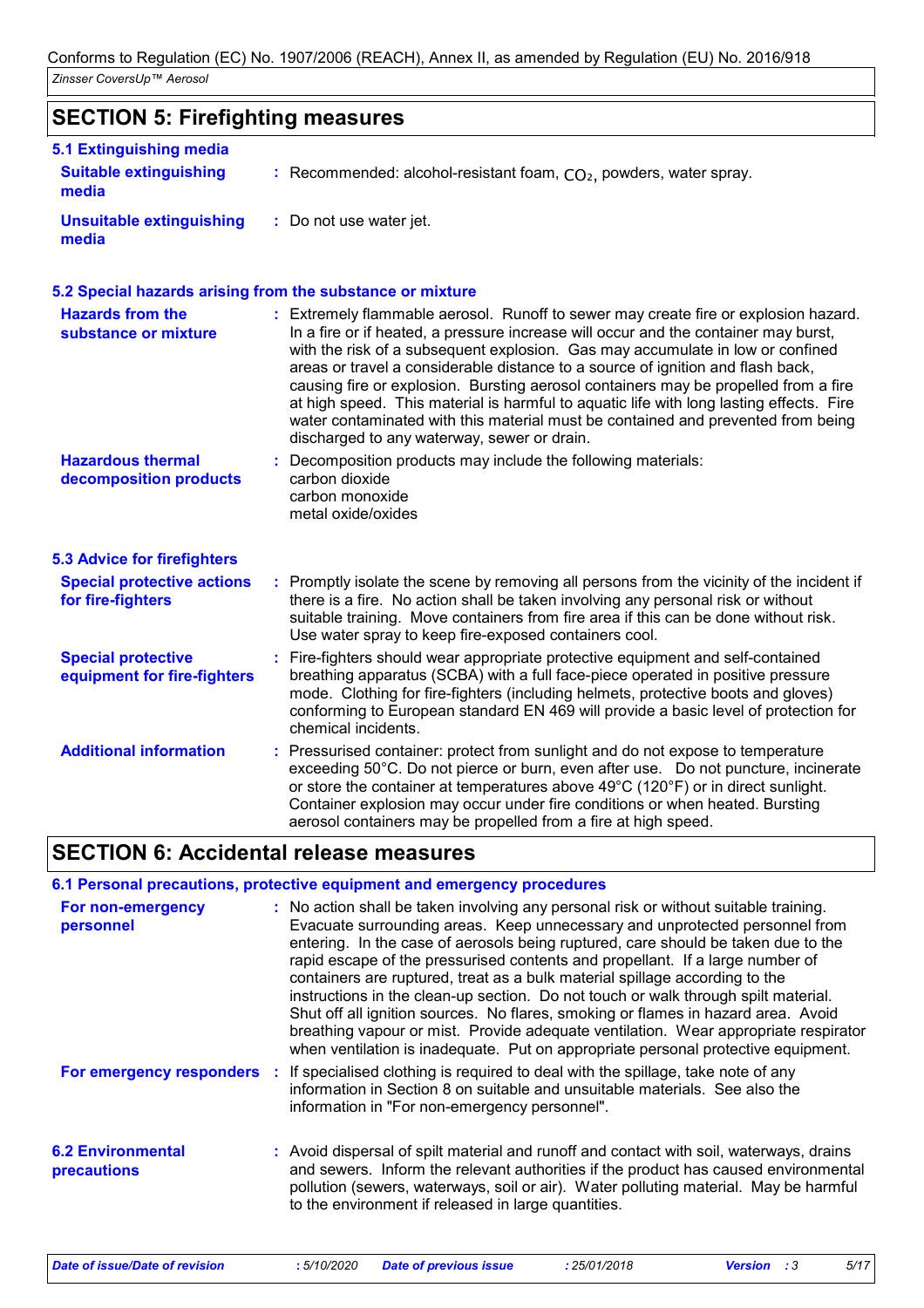# **SECTION 5: Firefighting measures**

| 5.1 Extinguishing media                |                                                                      |
|----------------------------------------|----------------------------------------------------------------------|
| <b>Suitable extinguishing</b><br>media | : Recommended: alcohol-resistant foam, $CO2$ , powders, water spray. |
| Unsuitable extinguishing<br>media      | : Do not use water jet.                                              |

### **5.2 Special hazards arising from the substance or mixture**

| <b>Hazards from the</b><br>substance or mixture          | : Extremely flammable aerosol. Runoff to sewer may create fire or explosion hazard.<br>In a fire or if heated, a pressure increase will occur and the container may burst,<br>with the risk of a subsequent explosion. Gas may accumulate in low or confined<br>areas or travel a considerable distance to a source of ignition and flash back,<br>causing fire or explosion. Bursting aerosol containers may be propelled from a fire<br>at high speed. This material is harmful to aquatic life with long lasting effects. Fire<br>water contaminated with this material must be contained and prevented from being<br>discharged to any waterway, sewer or drain. |  |
|----------------------------------------------------------|----------------------------------------------------------------------------------------------------------------------------------------------------------------------------------------------------------------------------------------------------------------------------------------------------------------------------------------------------------------------------------------------------------------------------------------------------------------------------------------------------------------------------------------------------------------------------------------------------------------------------------------------------------------------|--|
| <b>Hazardous thermal</b><br>decomposition products       | : Decomposition products may include the following materials:<br>carbon dioxide<br>carbon monoxide<br>metal oxide/oxides                                                                                                                                                                                                                                                                                                                                                                                                                                                                                                                                             |  |
| <b>5.3 Advice for firefighters</b>                       |                                                                                                                                                                                                                                                                                                                                                                                                                                                                                                                                                                                                                                                                      |  |
| <b>Special protective actions</b><br>for fire-fighters   | : Promptly isolate the scene by removing all persons from the vicinity of the incident if<br>there is a fire. No action shall be taken involving any personal risk or without<br>suitable training. Move containers from fire area if this can be done without risk.<br>Use water spray to keep fire-exposed containers cool.                                                                                                                                                                                                                                                                                                                                        |  |
| <b>Special protective</b><br>equipment for fire-fighters | : Fire-fighters should wear appropriate protective equipment and self-contained<br>breathing apparatus (SCBA) with a full face-piece operated in positive pressure<br>mode. Clothing for fire-fighters (including helmets, protective boots and gloves)<br>conforming to European standard EN 469 will provide a basic level of protection for<br>chemical incidents.                                                                                                                                                                                                                                                                                                |  |
| <b>Additional information</b>                            | : Pressurised container: protect from sunlight and do not expose to temperature<br>exceeding 50°C. Do not pierce or burn, even after use. Do not puncture, incinerate<br>or store the container at temperatures above $49^{\circ}$ C (120 $^{\circ}$ F) or in direct sunlight.<br>Container explosion may occur under fire conditions or when heated. Bursting<br>aerosol containers may be propelled from a fire at high speed.                                                                                                                                                                                                                                     |  |

# **SECTION 6: Accidental release measures**

### **6.1 Personal precautions, protective equipment and emergency procedures**

| For non-emergency<br>personnel          | : No action shall be taken involving any personal risk or without suitable training.<br>Evacuate surrounding areas. Keep unnecessary and unprotected personnel from<br>entering. In the case of aerosols being ruptured, care should be taken due to the<br>rapid escape of the pressurised contents and propellant. If a large number of<br>containers are ruptured, treat as a bulk material spillage according to the<br>instructions in the clean-up section. Do not touch or walk through spilt material.<br>Shut off all ignition sources. No flares, smoking or flames in hazard area. Avoid<br>breathing vapour or mist. Provide adequate ventilation. Wear appropriate respirator<br>when ventilation is inadequate. Put on appropriate personal protective equipment. |
|-----------------------------------------|---------------------------------------------------------------------------------------------------------------------------------------------------------------------------------------------------------------------------------------------------------------------------------------------------------------------------------------------------------------------------------------------------------------------------------------------------------------------------------------------------------------------------------------------------------------------------------------------------------------------------------------------------------------------------------------------------------------------------------------------------------------------------------|
|                                         | <b>For emergency responders</b> : If specialised clothing is required to deal with the spillage, take note of any<br>information in Section 8 on suitable and unsuitable materials. See also the<br>information in "For non-emergency personnel".                                                                                                                                                                                                                                                                                                                                                                                                                                                                                                                               |
| <b>6.2 Environmental</b><br>precautions | : Avoid dispersal of spilt material and runoff and contact with soil, waterways, drains<br>and sewers. Inform the relevant authorities if the product has caused environmental<br>pollution (sewers, waterways, soil or air). Water polluting material. May be harmful<br>to the environment if released in large quantities.                                                                                                                                                                                                                                                                                                                                                                                                                                                   |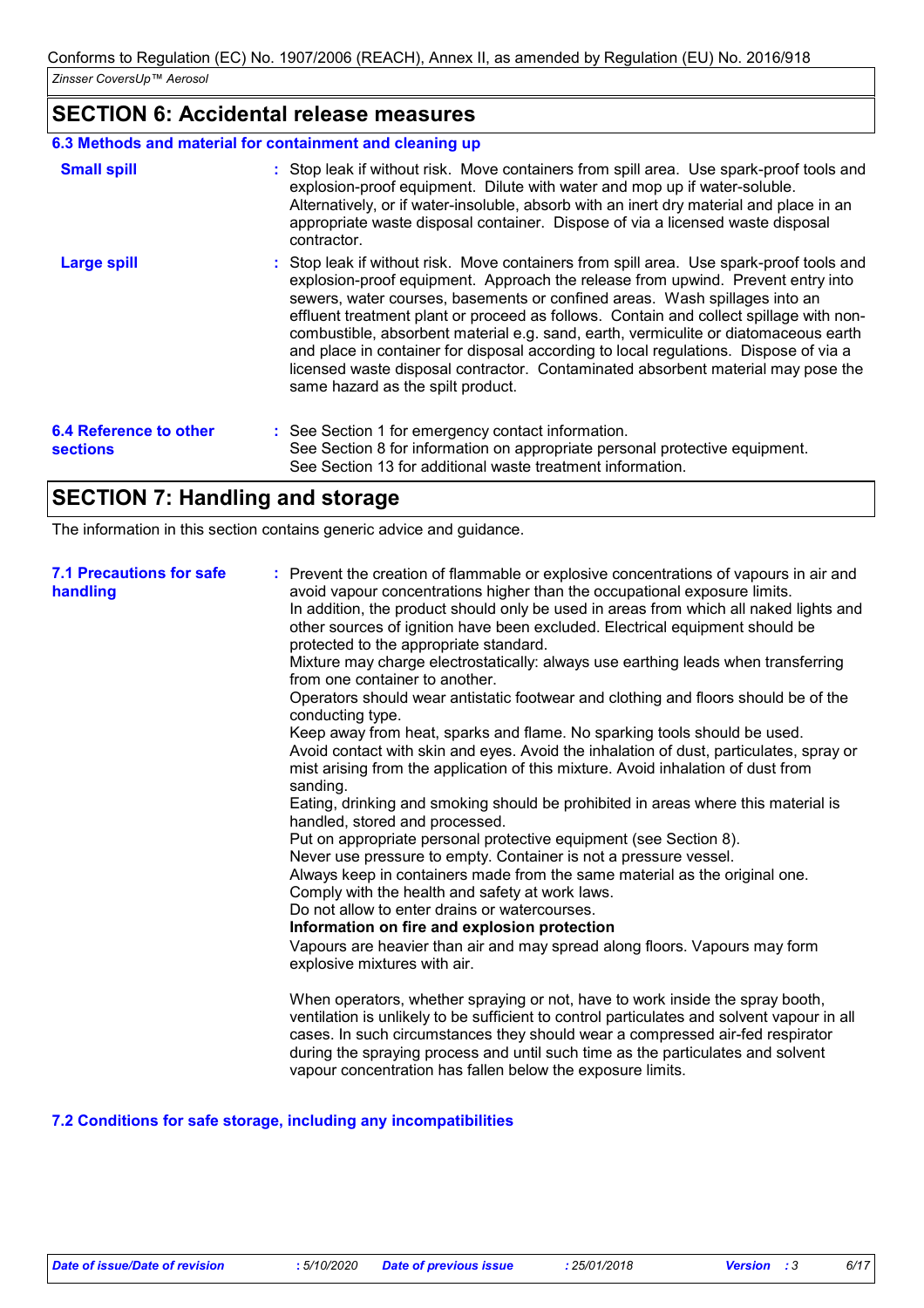# **SECTION 6: Accidental release measures**

### **6.3 Methods and material for containment and cleaning up**

| <b>Small spill</b>                        | : Stop leak if without risk. Move containers from spill area. Use spark-proof tools and<br>explosion-proof equipment. Dilute with water and mop up if water-soluble.<br>Alternatively, or if water-insoluble, absorb with an inert dry material and place in an<br>appropriate waste disposal container. Dispose of via a licensed waste disposal<br>contractor.                                                                                                                                                                                                                                                                                           |
|-------------------------------------------|------------------------------------------------------------------------------------------------------------------------------------------------------------------------------------------------------------------------------------------------------------------------------------------------------------------------------------------------------------------------------------------------------------------------------------------------------------------------------------------------------------------------------------------------------------------------------------------------------------------------------------------------------------|
| <b>Large spill</b>                        | : Stop leak if without risk. Move containers from spill area. Use spark-proof tools and<br>explosion-proof equipment. Approach the release from upwind. Prevent entry into<br>sewers, water courses, basements or confined areas. Wash spillages into an<br>effluent treatment plant or proceed as follows. Contain and collect spillage with non-<br>combustible, absorbent material e.g. sand, earth, vermiculite or diatomaceous earth<br>and place in container for disposal according to local regulations. Dispose of via a<br>licensed waste disposal contractor. Contaminated absorbent material may pose the<br>same hazard as the spilt product. |
| 6.4 Reference to other<br><b>sections</b> | : See Section 1 for emergency contact information.<br>See Section 8 for information on appropriate personal protective equipment.<br>See Section 13 for additional waste treatment information.                                                                                                                                                                                                                                                                                                                                                                                                                                                            |

# **SECTION 7: Handling and storage**

The information in this section contains generic advice and guidance.

| <b>7.1 Precautions for safe</b><br>handling | : Prevent the creation of flammable or explosive concentrations of vapours in air and<br>avoid vapour concentrations higher than the occupational exposure limits.<br>In addition, the product should only be used in areas from which all naked lights and<br>other sources of ignition have been excluded. Electrical equipment should be<br>protected to the appropriate standard.<br>Mixture may charge electrostatically: always use earthing leads when transferring<br>from one container to another.<br>Operators should wear antistatic footwear and clothing and floors should be of the<br>conducting type.<br>Keep away from heat, sparks and flame. No sparking tools should be used.<br>Avoid contact with skin and eyes. Avoid the inhalation of dust, particulates, spray or<br>mist arising from the application of this mixture. Avoid inhalation of dust from<br>sanding.<br>Eating, drinking and smoking should be prohibited in areas where this material is<br>handled, stored and processed.<br>Put on appropriate personal protective equipment (see Section 8).<br>Never use pressure to empty. Container is not a pressure vessel.<br>Always keep in containers made from the same material as the original one.<br>Comply with the health and safety at work laws.<br>Do not allow to enter drains or watercourses.<br>Information on fire and explosion protection<br>Vapours are heavier than air and may spread along floors. Vapours may form<br>explosive mixtures with air. |
|---------------------------------------------|--------------------------------------------------------------------------------------------------------------------------------------------------------------------------------------------------------------------------------------------------------------------------------------------------------------------------------------------------------------------------------------------------------------------------------------------------------------------------------------------------------------------------------------------------------------------------------------------------------------------------------------------------------------------------------------------------------------------------------------------------------------------------------------------------------------------------------------------------------------------------------------------------------------------------------------------------------------------------------------------------------------------------------------------------------------------------------------------------------------------------------------------------------------------------------------------------------------------------------------------------------------------------------------------------------------------------------------------------------------------------------------------------------------------------------------------------------------------------------------------------------------|
|                                             | When operators, whether spraying or not, have to work inside the spray booth,<br>ventilation is unlikely to be sufficient to control particulates and solvent vapour in all<br>cases. In such circumstances they should wear a compressed air-fed respirator<br>during the spraying process and until such time as the particulates and solvent<br>vapour concentration has fallen below the exposure limits.                                                                                                                                                                                                                                                                                                                                                                                                                                                                                                                                                                                                                                                                                                                                                                                                                                                                                                                                                                                                                                                                                                |

## **7.2 Conditions for safe storage, including any incompatibilities**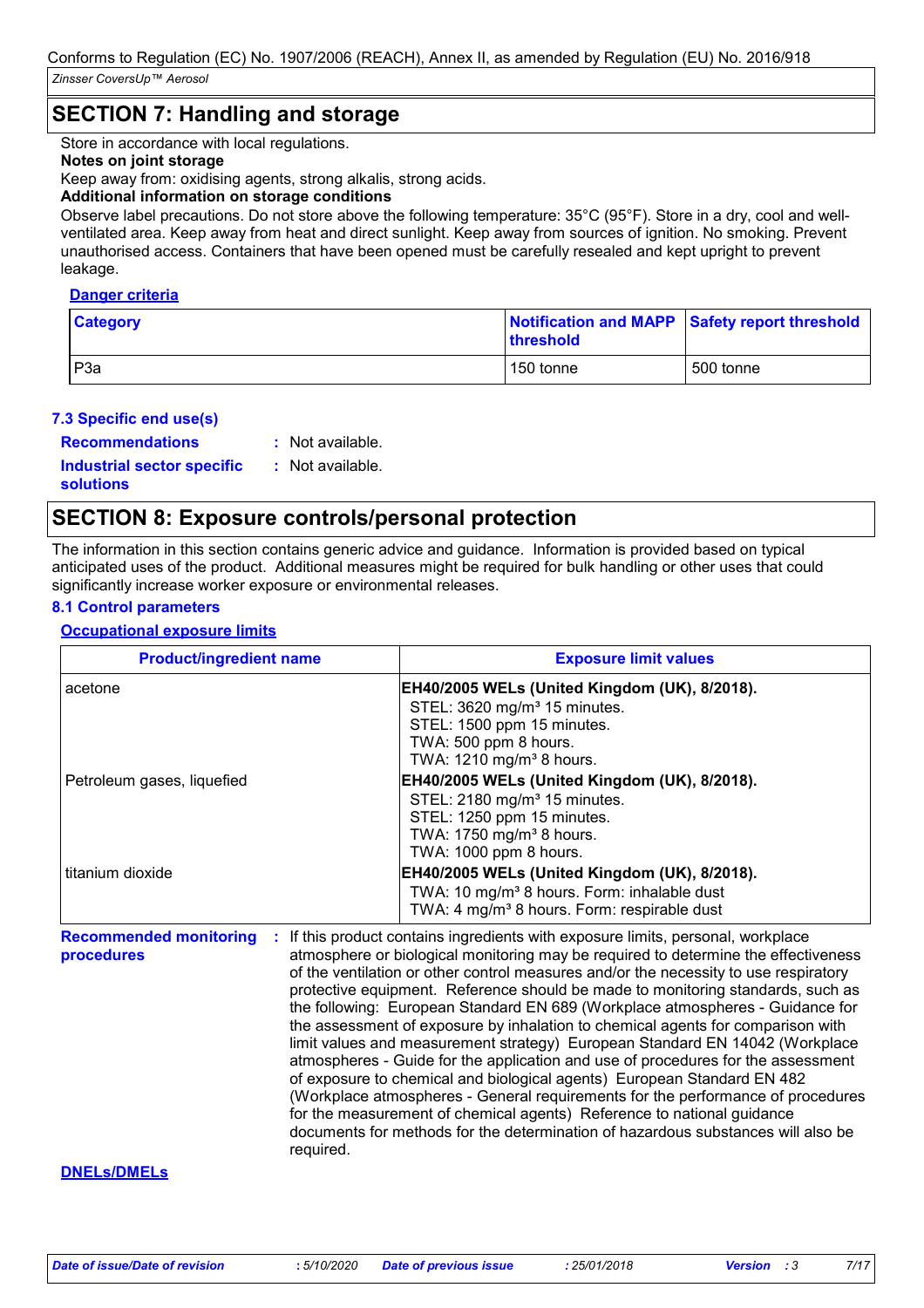# **SECTION 7: Handling and storage**

Store in accordance with local regulations.

## **Notes on joint storage**

Keep away from: oxidising agents, strong alkalis, strong acids.

### **Additional information on storage conditions**

Observe label precautions. Do not store above the following temperature: 35°C (95°F). Store in a dry, cool and wellventilated area. Keep away from heat and direct sunlight. Keep away from sources of ignition. No smoking. Prevent unauthorised access. Containers that have been opened must be carefully resealed and kept upright to prevent leakage.

#### **Danger criteria**

| <b>Category</b> | Notification and MAPP Safety report threshold<br><b>threshold</b> |           |  |
|-----------------|-------------------------------------------------------------------|-----------|--|
| P <sub>3a</sub> | 150 tonne                                                         | 500 tonne |  |

### **7.3 Specific end use(s)**

**Recommendations :**

Not available.

**Industrial sector specific : solutions**

: Not available.

# **SECTION 8: Exposure controls/personal protection**

The information in this section contains generic advice and guidance. Information is provided based on typical anticipated uses of the product. Additional measures might be required for bulk handling or other uses that could significantly increase worker exposure or environmental releases.

## **8.1 Control parameters**

### **Occupational exposure limits**

| <b>Product/ingredient name</b>              | <b>Exposure limit values</b>                                                                                                                                                                                                                                                                                                                                                                                                                                                                                        |
|---------------------------------------------|---------------------------------------------------------------------------------------------------------------------------------------------------------------------------------------------------------------------------------------------------------------------------------------------------------------------------------------------------------------------------------------------------------------------------------------------------------------------------------------------------------------------|
| acetone                                     | EH40/2005 WELs (United Kingdom (UK), 8/2018).<br>STEL: 3620 mg/m <sup>3</sup> 15 minutes.<br>STEL: 1500 ppm 15 minutes.<br>TWA: 500 ppm 8 hours.<br>TWA: 1210 mg/m <sup>3</sup> 8 hours.                                                                                                                                                                                                                                                                                                                            |
| Petroleum gases, liquefied                  | EH40/2005 WELs (United Kingdom (UK), 8/2018).<br>STEL: 2180 mg/m <sup>3</sup> 15 minutes.<br>STEL: 1250 ppm 15 minutes.<br>TWA: 1750 mg/m <sup>3</sup> 8 hours.<br>TWA: 1000 ppm 8 hours.                                                                                                                                                                                                                                                                                                                           |
| titanium dioxide                            | EH40/2005 WELs (United Kingdom (UK), 8/2018).<br>TWA: 10 mg/m <sup>3</sup> 8 hours. Form: inhalable dust<br>TWA: 4 mg/m <sup>3</sup> 8 hours. Form: respirable dust                                                                                                                                                                                                                                                                                                                                                 |
| <b>Recommended monitoring</b><br>procedures | If this product contains ingredients with exposure limits, personal, workplace<br>atmosphere or biological monitoring may be required to determine the effectiveness<br>of the ventilation or other control measures and/or the necessity to use respiratory<br>protective equipment. Reference should be made to monitoring standards, such as<br>the following: European Standard EN 689 (Workplace atmospheres - Guidance for<br>the assessment of exposure by inhalation to chemical agents for comparison with |

atmospheres - Guide for the application and use of procedures for the assessment of exposure to chemical and biological agents) European Standard EN 482 (Workplace atmospheres - General requirements for the performance of procedures for the measurement of chemical agents) Reference to national guidance documents for methods for the determination of hazardous substances will also be required.

#### **DNELs/DMELs**

limit values and measurement strategy) European Standard EN 14042 (Workplace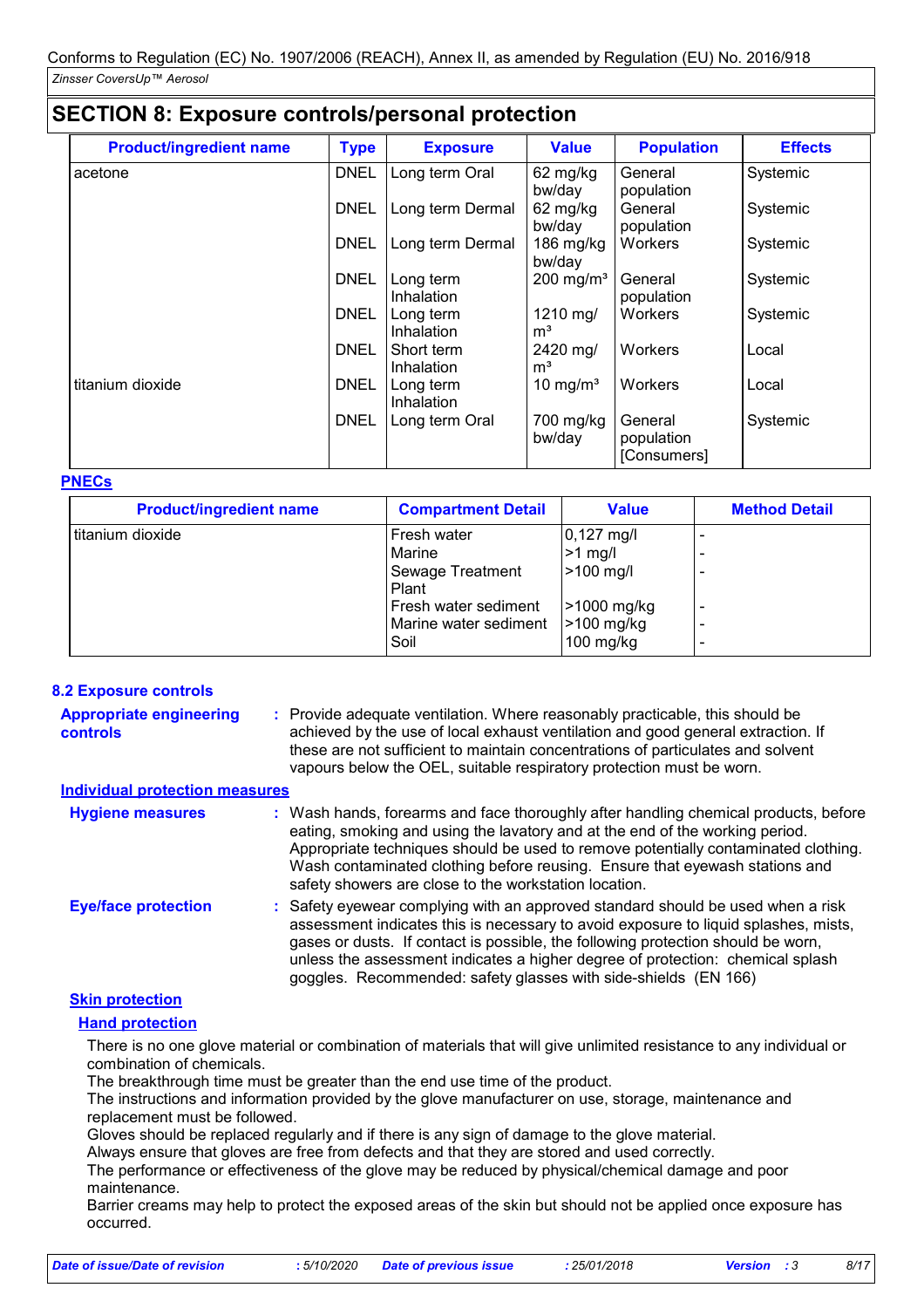# **SECTION 8: Exposure controls/personal protection**

| <b>Product/ingredient name</b> | <b>Type</b> | <b>Exposure</b>          | <b>Value</b>               | <b>Population</b>                    | <b>Effects</b> |
|--------------------------------|-------------|--------------------------|----------------------------|--------------------------------------|----------------|
| acetone                        | <b>DNEL</b> | Long term Oral           | 62 mg/kg<br>bw/day         | General<br>population                | Systemic       |
|                                | <b>DNEL</b> | Long term Dermal         | 62 mg/kg<br>bw/day         | General<br>population                | Systemic       |
|                                | <b>DNEL</b> | Long term Dermal         | 186 $mg/kg$<br>bw/day      | Workers                              | Systemic       |
|                                | <b>DNEL</b> | Long term<br>Inhalation  | $200$ mg/m <sup>3</sup>    | General<br>population                | Systemic       |
|                                | <b>DNEL</b> | Long term<br>Inhalation  | 1210 mg/<br>m <sup>3</sup> | Workers                              | Systemic       |
|                                | <b>DNEL</b> | Short term<br>Inhalation | 2420 mg/<br>m <sup>3</sup> | Workers                              | Local          |
| titanium dioxide               | <b>DNEL</b> | Long term<br>Inhalation  | 10 mg/m <sup>3</sup>       | Workers                              | Local          |
|                                | <b>DNEL</b> | Long term Oral           | 700 mg/kg<br>bw/day        | General<br>population<br>[Consumers] | Systemic       |

### **PNECs**

| <b>Product/ingredient name</b> | <b>Compartment Detail</b>                                                                                   | <b>Value</b>                                                                                 | <b>Method Detail</b> |
|--------------------------------|-------------------------------------------------------------------------------------------------------------|----------------------------------------------------------------------------------------------|----------------------|
| titanium dioxide               | Fresh water<br>Marine<br>Sewage Treatment<br>Plant<br>Fresh water sediment<br>Marine water sediment<br>Soil | $0,127 \text{ mg/l}$<br>$>1$ mg/l<br>$>100$ mg/l<br>>1000 mg/kg<br>>100 mg/kg<br>$100$ mg/kg |                      |

## **8.2 Exposure controls**

| <b>Appropriate engineering</b><br>controls | : Provide adequate ventilation. Where reasonably practicable, this should be<br>achieved by the use of local exhaust ventilation and good general extraction. If<br>these are not sufficient to maintain concentrations of particulates and solvent<br>vapours below the OEL, suitable respiratory protection must be worn.                                                                                     |
|--------------------------------------------|-----------------------------------------------------------------------------------------------------------------------------------------------------------------------------------------------------------------------------------------------------------------------------------------------------------------------------------------------------------------------------------------------------------------|
| <b>Individual protection measures</b>      |                                                                                                                                                                                                                                                                                                                                                                                                                 |
| <b>Hygiene measures</b>                    | : Wash hands, forearms and face thoroughly after handling chemical products, before<br>eating, smoking and using the lavatory and at the end of the working period.<br>Appropriate techniques should be used to remove potentially contaminated clothing.<br>Wash contaminated clothing before reusing. Ensure that eyewash stations and<br>safety showers are close to the workstation location.               |
| <b>Eye/face protection</b>                 | : Safety eyewear complying with an approved standard should be used when a risk<br>assessment indicates this is necessary to avoid exposure to liquid splashes, mists,<br>gases or dusts. If contact is possible, the following protection should be worn,<br>unless the assessment indicates a higher degree of protection: chemical splash<br>goggles. Recommended: safety glasses with side-shields (EN 166) |
| <b>Clim nuntention</b>                     |                                                                                                                                                                                                                                                                                                                                                                                                                 |

## **Skin protection**

## **Hand protection**

There is no one glove material or combination of materials that will give unlimited resistance to any individual or combination of chemicals.

The breakthrough time must be greater than the end use time of the product.

The instructions and information provided by the glove manufacturer on use, storage, maintenance and replacement must be followed.

Gloves should be replaced regularly and if there is any sign of damage to the glove material.

Always ensure that gloves are free from defects and that they are stored and used correctly.

The performance or effectiveness of the glove may be reduced by physical/chemical damage and poor maintenance.

Barrier creams may help to protect the exposed areas of the skin but should not be applied once exposure has occurred.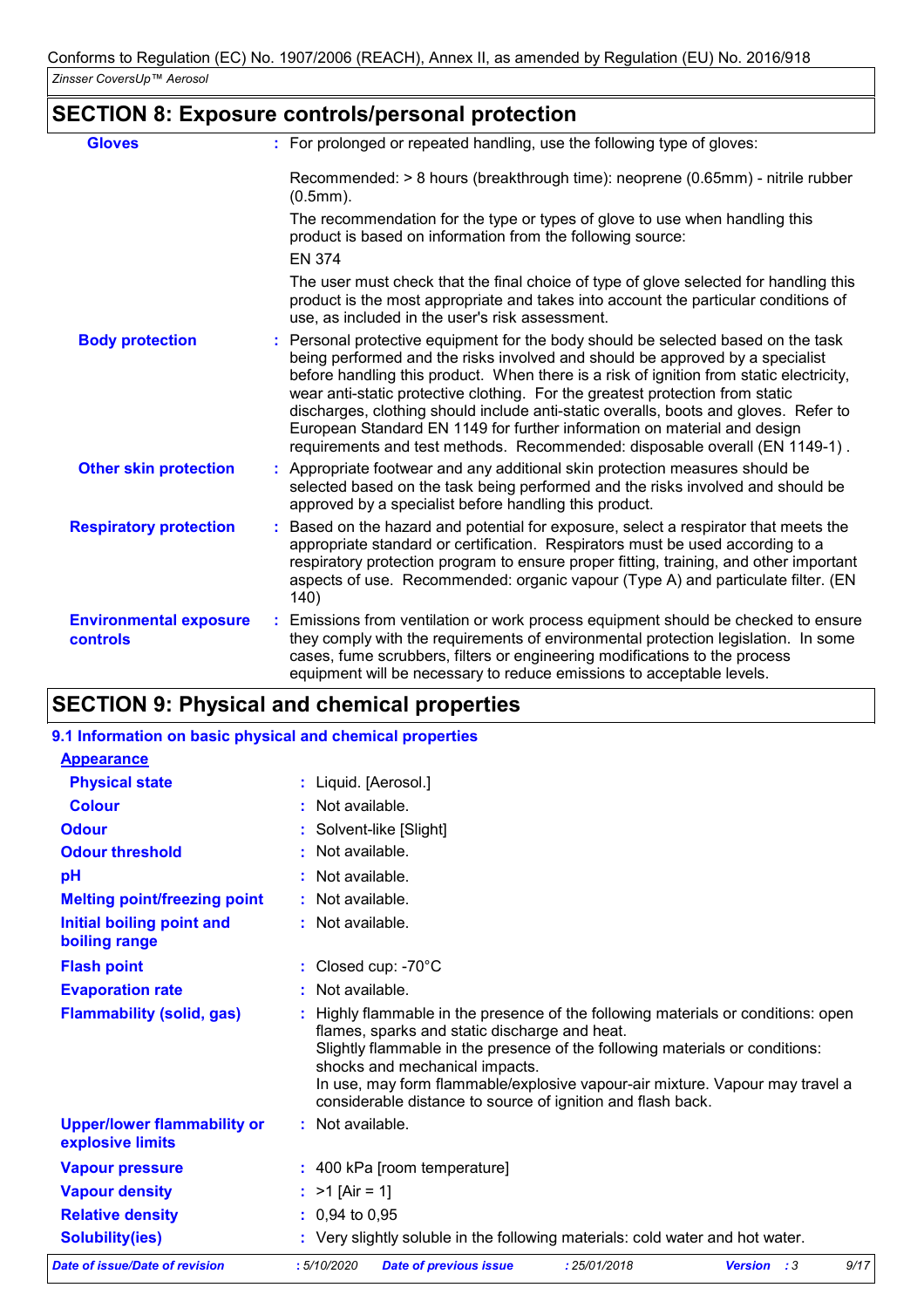# **SECTION 8: Exposure controls/personal protection**

| <b>Gloves</b>                             |               | : For prolonged or repeated handling, use the following type of gloves:                                                                                                                                                                                                                                                                                                                                                                                                                                                                                                                           |
|-------------------------------------------|---------------|---------------------------------------------------------------------------------------------------------------------------------------------------------------------------------------------------------------------------------------------------------------------------------------------------------------------------------------------------------------------------------------------------------------------------------------------------------------------------------------------------------------------------------------------------------------------------------------------------|
|                                           | $(0.5mm)$ .   | Recommended: > 8 hours (breakthrough time): neoprene (0.65mm) - nitrile rubber                                                                                                                                                                                                                                                                                                                                                                                                                                                                                                                    |
|                                           |               | The recommendation for the type or types of glove to use when handling this<br>product is based on information from the following source:                                                                                                                                                                                                                                                                                                                                                                                                                                                         |
|                                           | <b>EN 374</b> |                                                                                                                                                                                                                                                                                                                                                                                                                                                                                                                                                                                                   |
|                                           |               | The user must check that the final choice of type of glove selected for handling this<br>product is the most appropriate and takes into account the particular conditions of<br>use, as included in the user's risk assessment.                                                                                                                                                                                                                                                                                                                                                                   |
| <b>Body protection</b>                    |               | : Personal protective equipment for the body should be selected based on the task<br>being performed and the risks involved and should be approved by a specialist<br>before handling this product. When there is a risk of ignition from static electricity,<br>wear anti-static protective clothing. For the greatest protection from static<br>discharges, clothing should include anti-static overalls, boots and gloves. Refer to<br>European Standard EN 1149 for further information on material and design<br>requirements and test methods. Recommended: disposable overall (EN 1149-1). |
| <b>Other skin protection</b>              |               | : Appropriate footwear and any additional skin protection measures should be<br>selected based on the task being performed and the risks involved and should be<br>approved by a specialist before handling this product.                                                                                                                                                                                                                                                                                                                                                                         |
| <b>Respiratory protection</b>             | 140)          | : Based on the hazard and potential for exposure, select a respirator that meets the<br>appropriate standard or certification. Respirators must be used according to a<br>respiratory protection program to ensure proper fitting, training, and other important<br>aspects of use. Recommended: organic vapour (Type A) and particulate filter. (EN                                                                                                                                                                                                                                              |
| <b>Environmental exposure</b><br>controls |               | Emissions from ventilation or work process equipment should be checked to ensure<br>they comply with the requirements of environmental protection legislation. In some<br>cases, fume scrubbers, filters or engineering modifications to the process<br>equipment will be necessary to reduce emissions to acceptable levels.                                                                                                                                                                                                                                                                     |

# **SECTION 9: Physical and chemical properties**

| 9.1 Information on basic physical and chemical properties |                                                                                                                                                                                                                                                                                                                                                                                                   |
|-----------------------------------------------------------|---------------------------------------------------------------------------------------------------------------------------------------------------------------------------------------------------------------------------------------------------------------------------------------------------------------------------------------------------------------------------------------------------|
| <b>Appearance</b>                                         |                                                                                                                                                                                                                                                                                                                                                                                                   |
| <b>Physical state</b>                                     | : Liquid. [Aerosol.]                                                                                                                                                                                                                                                                                                                                                                              |
| <b>Colour</b>                                             | Not available.                                                                                                                                                                                                                                                                                                                                                                                    |
| <b>Odour</b>                                              | Solvent-like [Slight]                                                                                                                                                                                                                                                                                                                                                                             |
| <b>Odour threshold</b>                                    | Not available.                                                                                                                                                                                                                                                                                                                                                                                    |
| pH                                                        | Not available.                                                                                                                                                                                                                                                                                                                                                                                    |
| <b>Melting point/freezing point</b>                       | Not available.                                                                                                                                                                                                                                                                                                                                                                                    |
| <b>Initial boiling point and</b><br>boiling range         | : Not available.                                                                                                                                                                                                                                                                                                                                                                                  |
| <b>Flash point</b>                                        | Closed cup: -70°C                                                                                                                                                                                                                                                                                                                                                                                 |
| <b>Evaporation rate</b>                                   | Not available.                                                                                                                                                                                                                                                                                                                                                                                    |
| <b>Flammability (solid, gas)</b>                          | Highly flammable in the presence of the following materials or conditions: open<br>flames, sparks and static discharge and heat.<br>Slightly flammable in the presence of the following materials or conditions:<br>shocks and mechanical impacts.<br>In use, may form flammable/explosive vapour-air mixture. Vapour may travel a<br>considerable distance to source of ignition and flash back. |
| <b>Upper/lower flammability or</b><br>explosive limits    | : Not available.                                                                                                                                                                                                                                                                                                                                                                                  |
| <b>Vapour pressure</b>                                    | : 400 kPa [room temperature]                                                                                                                                                                                                                                                                                                                                                                      |
| <b>Vapour density</b>                                     | : $>1$ [Air = 1]                                                                                                                                                                                                                                                                                                                                                                                  |
| <b>Relative density</b>                                   | $: 0.94$ to 0.95                                                                                                                                                                                                                                                                                                                                                                                  |
| <b>Solubility(ies)</b>                                    | : Very slightly soluble in the following materials: cold water and hot water.                                                                                                                                                                                                                                                                                                                     |
| <b>Date of issue/Date of revision</b>                     | 9/17<br>:5/10/2020<br><b>Date of previous issue</b><br>: 25/01/2018<br><b>Version</b> : 3                                                                                                                                                                                                                                                                                                         |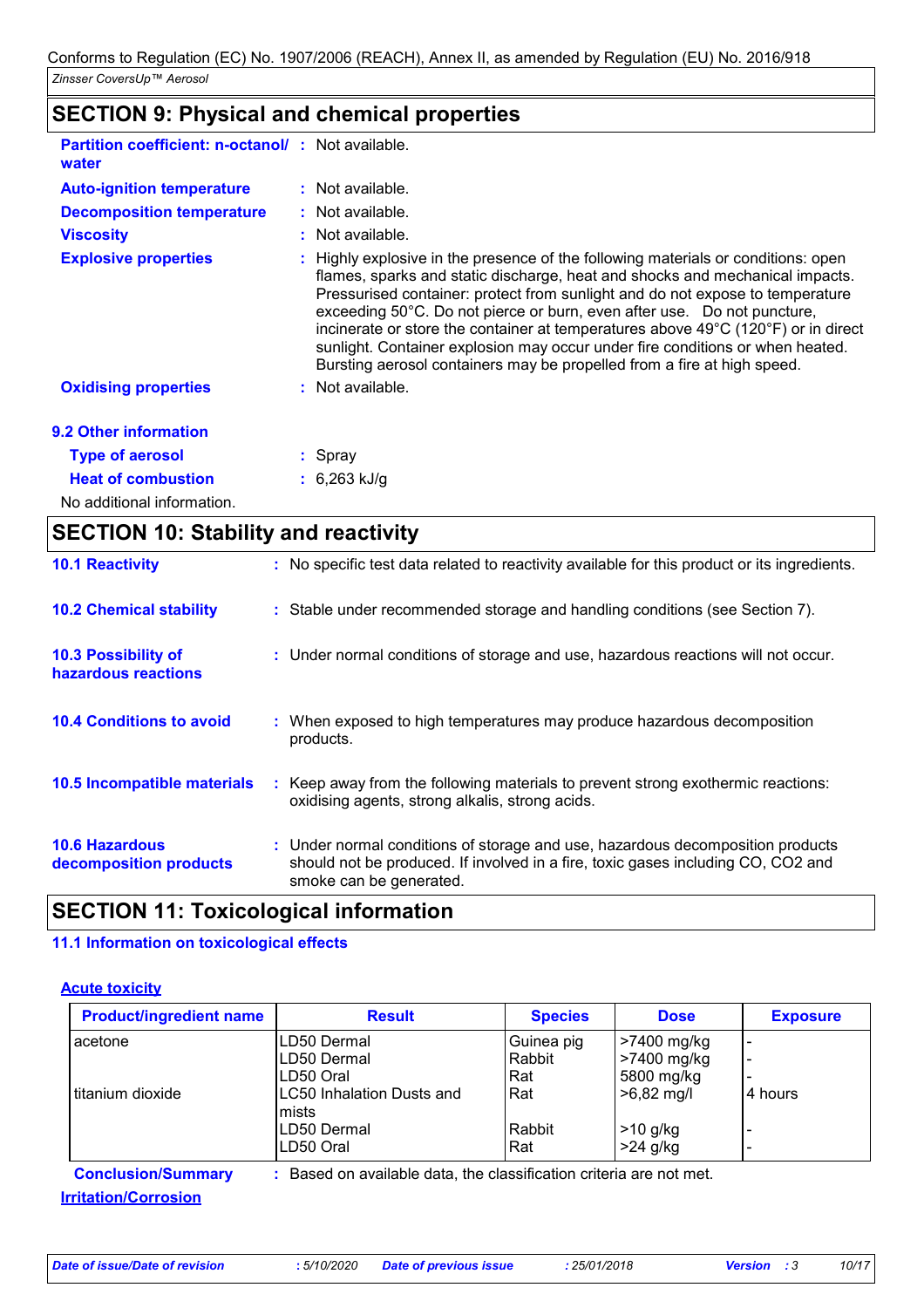# **SECTION 9: Physical and chemical properties**

| <b>Partition coefficient: n-octanol/: Not available.</b><br>water |                                                                                                                                                                                                                                                                                                                                                                                                                                                                                                                                                                                                     |
|-------------------------------------------------------------------|-----------------------------------------------------------------------------------------------------------------------------------------------------------------------------------------------------------------------------------------------------------------------------------------------------------------------------------------------------------------------------------------------------------------------------------------------------------------------------------------------------------------------------------------------------------------------------------------------------|
| <b>Auto-ignition temperature</b>                                  | : Not available.                                                                                                                                                                                                                                                                                                                                                                                                                                                                                                                                                                                    |
| <b>Decomposition temperature</b>                                  | : Not available.                                                                                                                                                                                                                                                                                                                                                                                                                                                                                                                                                                                    |
| <b>Viscosity</b>                                                  | $:$ Not available.                                                                                                                                                                                                                                                                                                                                                                                                                                                                                                                                                                                  |
| <b>Explosive properties</b>                                       | : Highly explosive in the presence of the following materials or conditions: open<br>flames, sparks and static discharge, heat and shocks and mechanical impacts.<br>Pressurised container: protect from sunlight and do not expose to temperature<br>exceeding 50°C. Do not pierce or burn, even after use. Do not puncture,<br>incinerate or store the container at temperatures above $49^{\circ}$ C (120 $^{\circ}$ F) or in direct<br>sunlight. Container explosion may occur under fire conditions or when heated.<br>Bursting aerosol containers may be propelled from a fire at high speed. |
| <b>Oxidising properties</b>                                       | $:$ Not available.                                                                                                                                                                                                                                                                                                                                                                                                                                                                                                                                                                                  |
| 9.2 Other information                                             |                                                                                                                                                                                                                                                                                                                                                                                                                                                                                                                                                                                                     |
| <b>Type of aerosol</b>                                            | $:$ Spray                                                                                                                                                                                                                                                                                                                                                                                                                                                                                                                                                                                           |
| <b>Heat of combustion</b>                                         | $: 6.263$ kJ/g                                                                                                                                                                                                                                                                                                                                                                                                                                                                                                                                                                                      |
|                                                                   |                                                                                                                                                                                                                                                                                                                                                                                                                                                                                                                                                                                                     |

No additional information.

 $\mathbf{r}$ 

| <b>SECTION 10: Stability and reactivity</b>       |                                                                                                                                                                                               |  |  |  |
|---------------------------------------------------|-----------------------------------------------------------------------------------------------------------------------------------------------------------------------------------------------|--|--|--|
| <b>10.1 Reactivity</b>                            | : No specific test data related to reactivity available for this product or its ingredients.                                                                                                  |  |  |  |
| <b>10.2 Chemical stability</b>                    | : Stable under recommended storage and handling conditions (see Section 7).                                                                                                                   |  |  |  |
| <b>10.3 Possibility of</b><br>hazardous reactions | : Under normal conditions of storage and use, hazardous reactions will not occur.                                                                                                             |  |  |  |
| <b>10.4 Conditions to avoid</b>                   | : When exposed to high temperatures may produce hazardous decomposition<br>products.                                                                                                          |  |  |  |
| 10.5 Incompatible materials                       | Keep away from the following materials to prevent strong exothermic reactions:<br>oxidising agents, strong alkalis, strong acids.                                                             |  |  |  |
| <b>10.6 Hazardous</b><br>decomposition products   | : Under normal conditions of storage and use, hazardous decomposition products<br>should not be produced. If involved in a fire, toxic gases including CO, CO2 and<br>smoke can be generated. |  |  |  |

# **SECTION 11: Toxicological information**

## **11.1 Information on toxicological effects**

## **Acute toxicity**

| <b>Product/ingredient name</b> | <b>Result</b>                                                     | <b>Species</b> | <b>Dose</b>          | <b>Exposure</b> |
|--------------------------------|-------------------------------------------------------------------|----------------|----------------------|-----------------|
| acetone                        | LD50 Dermal                                                       | Guinea pig     | >7400 mg/kg          |                 |
|                                | LD50 Dermal                                                       | Rabbit         | >7400 mg/kg          |                 |
|                                | LD50 Oral                                                         | Rat            | 5800 mg/kg           |                 |
| titanium dioxide               | <b>LC50 Inhalation Dusts and</b><br>mists                         | Rat            | $>6,82 \text{ mg/l}$ | 14 hours        |
|                                | LD50 Dermal                                                       | Rabbit         | <b>P</b> >10 g/kg    |                 |
|                                | LD50 Oral                                                         | Rat            | $>24$ g/kg           |                 |
| <b>Conclusion/Summary</b>      | Based on available data, the classification criteria are not met. |                |                      |                 |
| <b>Irritation/Corrosion</b>    |                                                                   |                |                      |                 |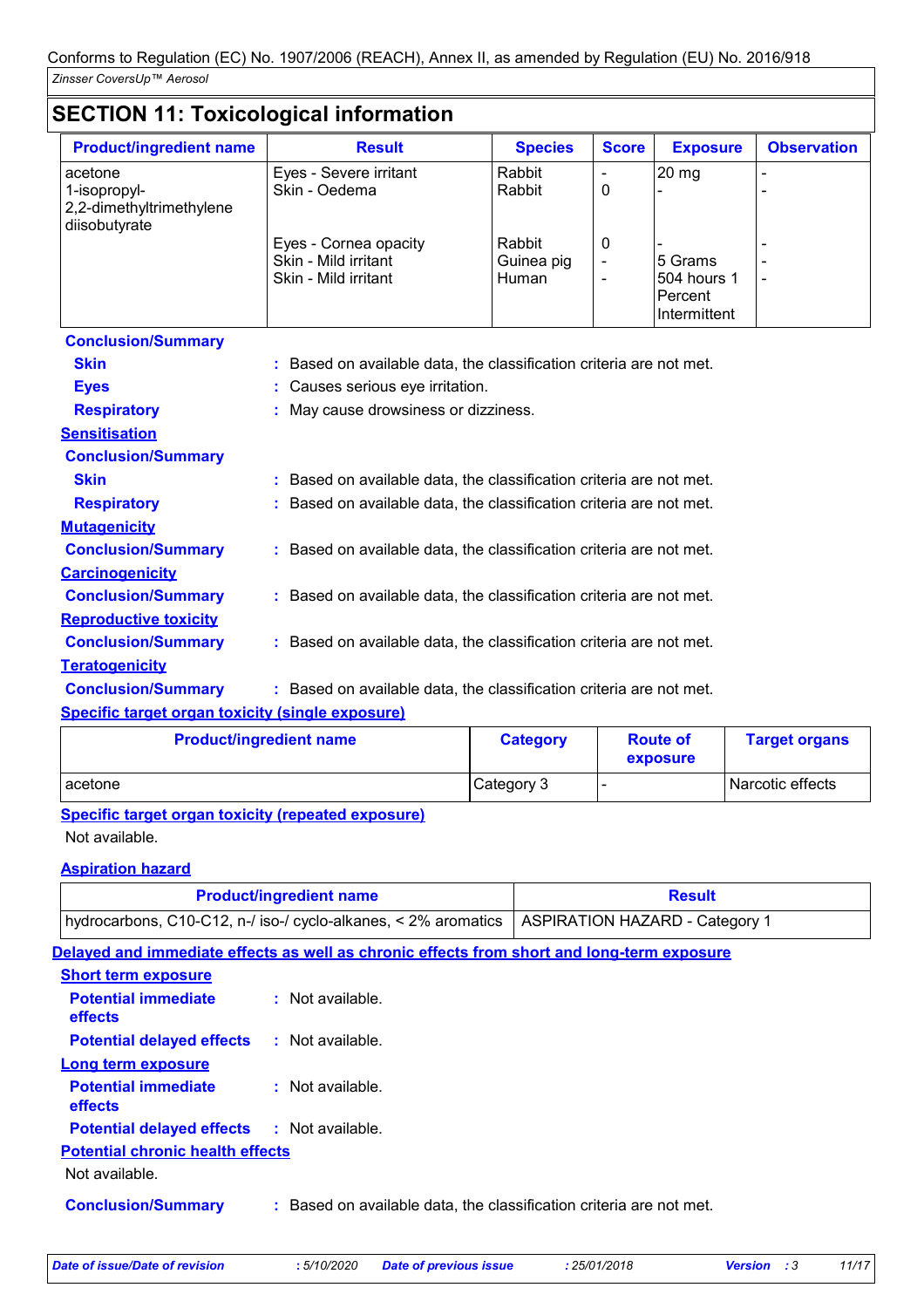# **SECTION 11: Toxicological information**

| <b>Product/ingredient name</b>                      | <b>Result</b>                                                         | <b>Species</b>                | <b>Score</b>                          | <b>Exposure</b>                                   | <b>Observation</b> |  |  |
|-----------------------------------------------------|-----------------------------------------------------------------------|-------------------------------|---------------------------------------|---------------------------------------------------|--------------------|--|--|
| acetone<br>1-isopropyl-<br>2,2-dimethyltrimethylene | Eyes - Severe irritant<br>Skin - Oedema                               | Rabbit<br>Rabbit              | 0                                     | 20 mg                                             |                    |  |  |
| diisobutyrate                                       | Eyes - Cornea opacity<br>Skin - Mild irritant<br>Skin - Mild irritant | Rabbit<br>Guinea pig<br>Human | 0<br>$\blacksquare$<br>$\blacksquare$ | 5 Grams<br>504 hours 1<br>Percent<br>Intermittent |                    |  |  |
| <b>Conclusion/Summary</b>                           |                                                                       |                               |                                       |                                                   |                    |  |  |
| <b>Skin</b>                                         | : Based on available data, the classification criteria are not met.   |                               |                                       |                                                   |                    |  |  |
| <b>Eyes</b>                                         | : Causes serious eye irritation.                                      |                               |                                       |                                                   |                    |  |  |
| <b>Respiratory</b>                                  | : May cause drowsiness or dizziness.                                  |                               |                                       |                                                   |                    |  |  |
| <b>Sensitisation</b>                                |                                                                       |                               |                                       |                                                   |                    |  |  |
| <b>Conclusion/Summary</b>                           |                                                                       |                               |                                       |                                                   |                    |  |  |
| <b>Skin</b>                                         | : Based on available data, the classification criteria are not met.   |                               |                                       |                                                   |                    |  |  |
| <b>Respiratory</b>                                  | : Based on available data, the classification criteria are not met.   |                               |                                       |                                                   |                    |  |  |
| <b>Mutagenicity</b>                                 |                                                                       |                               |                                       |                                                   |                    |  |  |
| <b>Conclusion/Summary</b>                           | : Based on available data, the classification criteria are not met.   |                               |                                       |                                                   |                    |  |  |
| <b>Carcinogenicity</b>                              |                                                                       |                               |                                       |                                                   |                    |  |  |
| <b>Conclusion/Summary</b>                           | : Based on available data, the classification criteria are not met.   |                               |                                       |                                                   |                    |  |  |
| <b>Reproductive toxicity</b>                        |                                                                       |                               |                                       |                                                   |                    |  |  |
| <b>Conclusion/Summary</b>                           | : Based on available data, the classification criteria are not met.   |                               |                                       |                                                   |                    |  |  |
| <b>Teratogenicity</b>                               |                                                                       |                               |                                       |                                                   |                    |  |  |
| <b>Conclusion/Summary</b>                           | : Based on available data, the classification criteria are not met.   |                               |                                       |                                                   |                    |  |  |
| Cuanific tovant overan toviaity (single overagive)  |                                                                       |                               |                                       |                                                   |                    |  |  |

#### **Specific target organ toxicity (single exposure)**

| <b>Product/ingredient name</b> | <b>Category</b> | <b>Route of</b><br>exposure | <b>Target organs</b> |
|--------------------------------|-----------------|-----------------------------|----------------------|
| I acetone                      | Category 3      |                             | Narcotic effects     |

**Specific target organ toxicity (repeated exposure)**

## Not available.

## **Aspiration hazard**

| <b>Product/ingredient name</b>                                                                  | <b>Result</b> |  |
|-------------------------------------------------------------------------------------------------|---------------|--|
| hydrocarbons, C10-C12, n-/ iso-/ cyclo-alkanes, < 2% aromatics   ASPIRATION HAZARD - Category 1 |               |  |

## **Delayed and immediate effects as well as chronic effects from short and long-term exposure Short term exposure**

| <b>Potential immediate</b><br>effects                     | : Not available.                                                    |
|-----------------------------------------------------------|---------------------------------------------------------------------|
| <b>Potential delayed effects</b>                          | : Not available.                                                    |
| <b>Long term exposure</b>                                 |                                                                     |
| <b>Potential immediate</b><br>effects                     | : Not available.                                                    |
| <b>Potential delayed effects : Not available.</b>         |                                                                     |
| <b>Potential chronic health effects</b><br>Not available. |                                                                     |
| <b>Conclusion/Summary</b>                                 | : Based on available data, the classification criteria are not met. |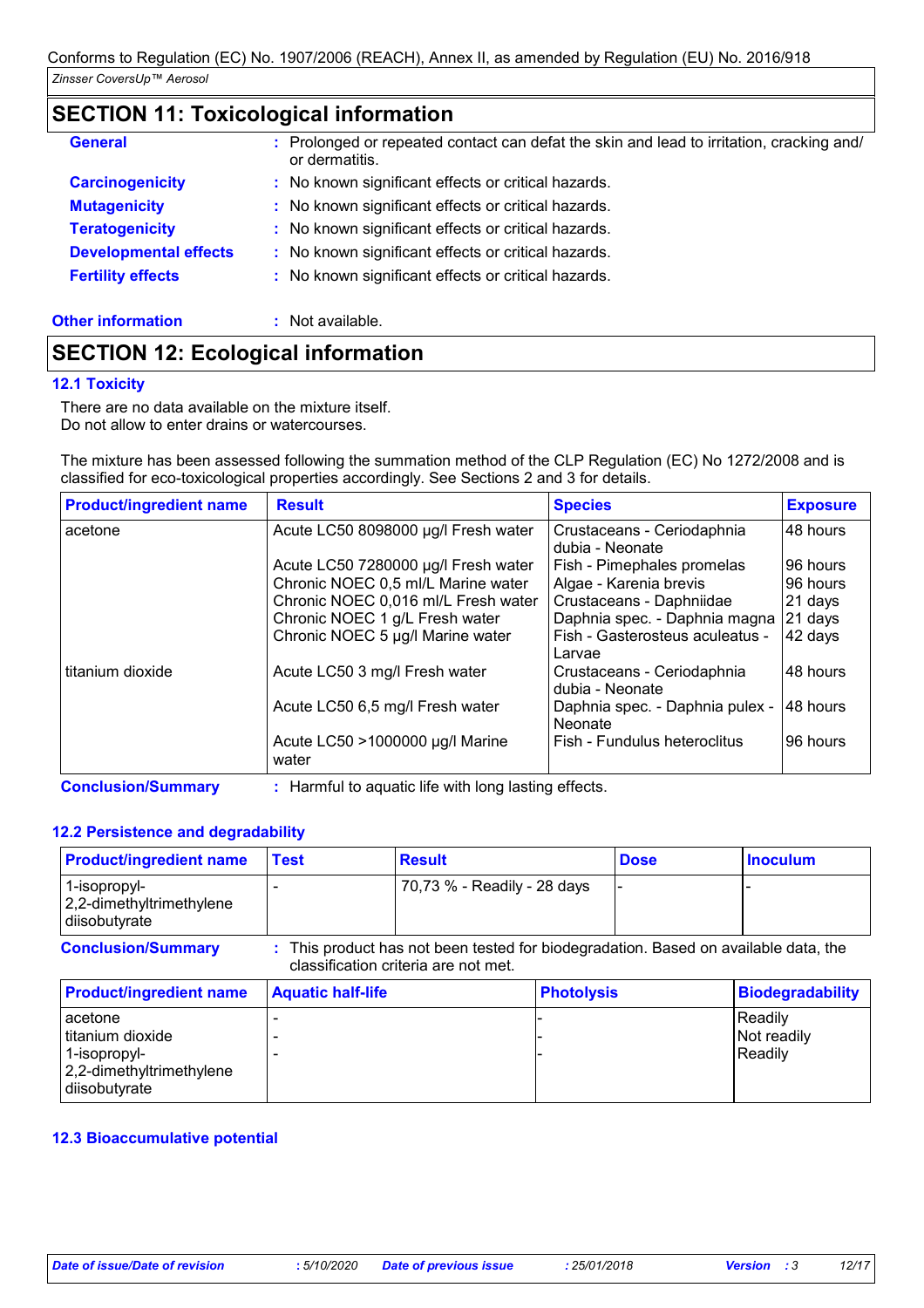# **SECTION 11: Toxicological information**

| <b>General</b>               | : Prolonged or repeated contact can defat the skin and lead to irritation, cracking and/<br>or dermatitis. |
|------------------------------|------------------------------------------------------------------------------------------------------------|
| <b>Carcinogenicity</b>       | : No known significant effects or critical hazards.                                                        |
| <b>Mutagenicity</b>          | : No known significant effects or critical hazards.                                                        |
| <b>Teratogenicity</b>        | : No known significant effects or critical hazards.                                                        |
| <b>Developmental effects</b> | : No known significant effects or critical hazards.                                                        |
| <b>Fertility effects</b>     | : No known significant effects or critical hazards.                                                        |
| <b>Other information</b>     | Not available.                                                                                             |

# **SECTION 12: Ecological information**

## **12.1 Toxicity**

There are no data available on the mixture itself. Do not allow to enter drains or watercourses.

The mixture has been assessed following the summation method of the CLP Regulation (EC) No 1272/2008 and is classified for eco-toxicological properties accordingly. See Sections 2 and 3 for details.

| <b>Product/ingredient name</b> | <b>Result</b>                            | <b>Species</b>                                | <b>Exposure</b> |
|--------------------------------|------------------------------------------|-----------------------------------------------|-----------------|
| acetone                        | Acute LC50 8098000 µg/l Fresh water      | Crustaceans - Ceriodaphnia<br>dubia - Neonate | 48 hours        |
|                                | Acute LC50 7280000 µg/l Fresh water      | Fish - Pimephales promelas                    | 96 hours        |
|                                | Chronic NOEC 0,5 ml/L Marine water       | Algae - Karenia brevis                        | 96 hours        |
|                                | Chronic NOEC 0,016 ml/L Fresh water      | Crustaceans - Daphniidae                      | 21 days         |
|                                | Chronic NOEC 1 g/L Fresh water           | Daphnia spec. - Daphnia magna                 | 21 days         |
|                                | Chronic NOEC 5 µg/l Marine water         | Fish - Gasterosteus aculeatus -<br>Larvae     | 42 days         |
| titanium dioxide               | Acute LC50 3 mg/l Fresh water            | Crustaceans - Ceriodaphnia<br>dubia - Neonate | 48 hours        |
|                                | Acute LC50 6,5 mg/l Fresh water          | Daphnia spec. - Daphnia pulex -<br>Neonate    | 48 hours        |
|                                | Acute LC50 >1000000 µg/l Marine<br>water | Fish - Fundulus heteroclitus                  | 96 hours        |

**Conclusion/Summary :** Harmful to aquatic life with long lasting effects.

## **12.2 Persistence and degradability**

| <b>Product/ingredient name</b>                                                           | <b>Test</b>              | <b>Result</b>                                                                                                               |                   | <b>Dose</b> | <b>Inoculum</b>                   |
|------------------------------------------------------------------------------------------|--------------------------|-----------------------------------------------------------------------------------------------------------------------------|-------------------|-------------|-----------------------------------|
| 1-isopropyl-<br>2,2-dimethyltrimethylene<br>diisobutyrate                                |                          | 70,73 % - Readily - 28 days                                                                                                 |                   |             |                                   |
| <b>Conclusion/Summary</b>                                                                |                          | : This product has not been tested for biodegradation. Based on available data, the<br>classification criteria are not met. |                   |             |                                   |
| <b>Product/ingredient name</b>                                                           | <b>Aquatic half-life</b> |                                                                                                                             | <b>Photolysis</b> |             | <b>Biodegradability</b>           |
| acetone<br>titanium dioxide<br>1-isopropyl-<br>2,2-dimethyltrimethylene<br>diisobutyrate |                          |                                                                                                                             |                   |             | Readily<br>Not readily<br>Readily |

## **12.3 Bioaccumulative potential**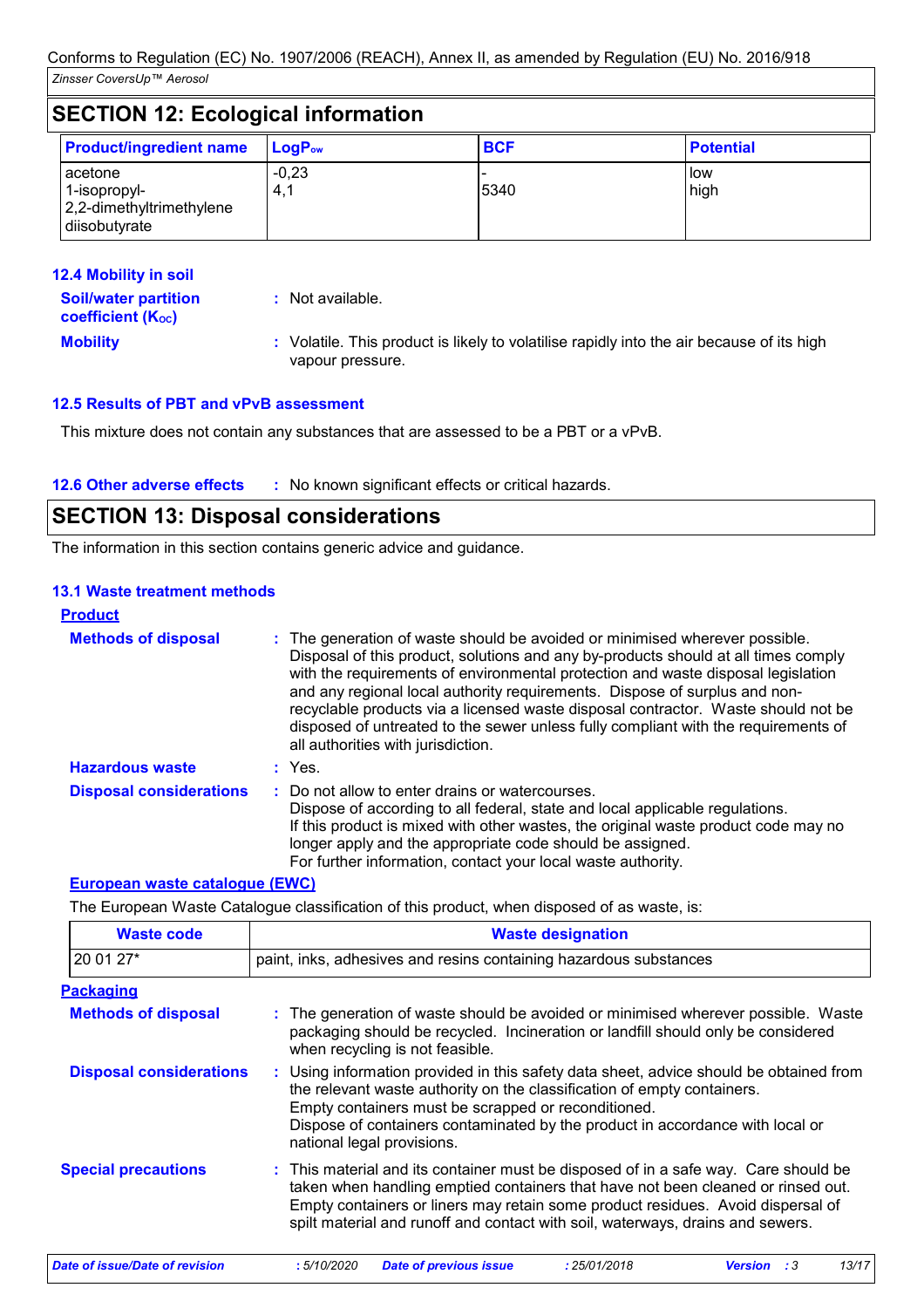| <b>SECTION 12: Ecological information</b>                            |                             |            |                  |  |
|----------------------------------------------------------------------|-----------------------------|------------|------------------|--|
| <b>Product/ingredient name</b>                                       | $\mathsf{LogP}_\mathsf{ow}$ | <b>BCF</b> | <b>Potential</b> |  |
| acetone<br>1-isopropyl-<br>2,2-dimethyltrimethylene<br>diisobutyrate | $-0,23$<br>4,1              | 5340       | low<br>high      |  |

| <b>12.4 Mobility in soil</b>                                  |                                                                                                               |
|---------------------------------------------------------------|---------------------------------------------------------------------------------------------------------------|
| <b>Soil/water partition</b><br>coefficient (K <sub>oc</sub> ) | : Not available.                                                                                              |
| <b>Mobility</b>                                               | : Volatile. This product is likely to volatilise rapidly into the air because of its high<br>vapour pressure. |

## **12.5 Results of PBT and vPvB assessment**

This mixture does not contain any substances that are assessed to be a PBT or a vPvB.

### **12.6 Other adverse effects** : No known significant effects or critical hazards.

# **SECTION 13: Disposal considerations**

The information in this section contains generic advice and guidance.

### **13.1 Waste treatment methods**

| <b>Product</b>                 |                                                                                                                                                                                                                                                                                                                                                                                                                                                                                                                                                      |
|--------------------------------|------------------------------------------------------------------------------------------------------------------------------------------------------------------------------------------------------------------------------------------------------------------------------------------------------------------------------------------------------------------------------------------------------------------------------------------------------------------------------------------------------------------------------------------------------|
| <b>Methods of disposal</b>     | : The generation of waste should be avoided or minimised wherever possible.<br>Disposal of this product, solutions and any by-products should at all times comply<br>with the requirements of environmental protection and waste disposal legislation<br>and any regional local authority requirements. Dispose of surplus and non-<br>recyclable products via a licensed waste disposal contractor. Waste should not be<br>disposed of untreated to the sewer unless fully compliant with the requirements of<br>all authorities with jurisdiction. |
| <b>Hazardous waste</b>         | : Yes.                                                                                                                                                                                                                                                                                                                                                                                                                                                                                                                                               |
| <b>Disposal considerations</b> | : Do not allow to enter drains or watercourses.<br>Dispose of according to all federal, state and local applicable regulations.<br>If this product is mixed with other wastes, the original waste product code may no<br>longer apply and the appropriate code should be assigned.<br>For further information, contact your local waste authority.                                                                                                                                                                                                   |

#### **European waste catalogue (EWC)**

The European Waste Catalogue classification of this product, when disposed of as waste, is:

| <b>Waste code</b>              | <b>Waste designation</b>                                                                                                                                                                                                                                                                                                                     |  |  |
|--------------------------------|----------------------------------------------------------------------------------------------------------------------------------------------------------------------------------------------------------------------------------------------------------------------------------------------------------------------------------------------|--|--|
| 20 01 27*                      | paint, inks, adhesives and resins containing hazardous substances                                                                                                                                                                                                                                                                            |  |  |
| <b>Packaging</b>               |                                                                                                                                                                                                                                                                                                                                              |  |  |
| <b>Methods of disposal</b>     | : The generation of waste should be avoided or minimised wherever possible. Waste<br>packaging should be recycled. Incineration or landfill should only be considered<br>when recycling is not feasible.                                                                                                                                     |  |  |
| <b>Disposal considerations</b> | : Using information provided in this safety data sheet, advice should be obtained from<br>the relevant waste authority on the classification of empty containers.<br>Empty containers must be scrapped or reconditioned.<br>Dispose of containers contaminated by the product in accordance with local or<br>national legal provisions.      |  |  |
| <b>Special precautions</b>     | : This material and its container must be disposed of in a safe way. Care should be<br>taken when handling emptied containers that have not been cleaned or rinsed out.<br>Empty containers or liners may retain some product residues. Avoid dispersal of<br>spilt material and runoff and contact with soil, waterways, drains and sewers. |  |  |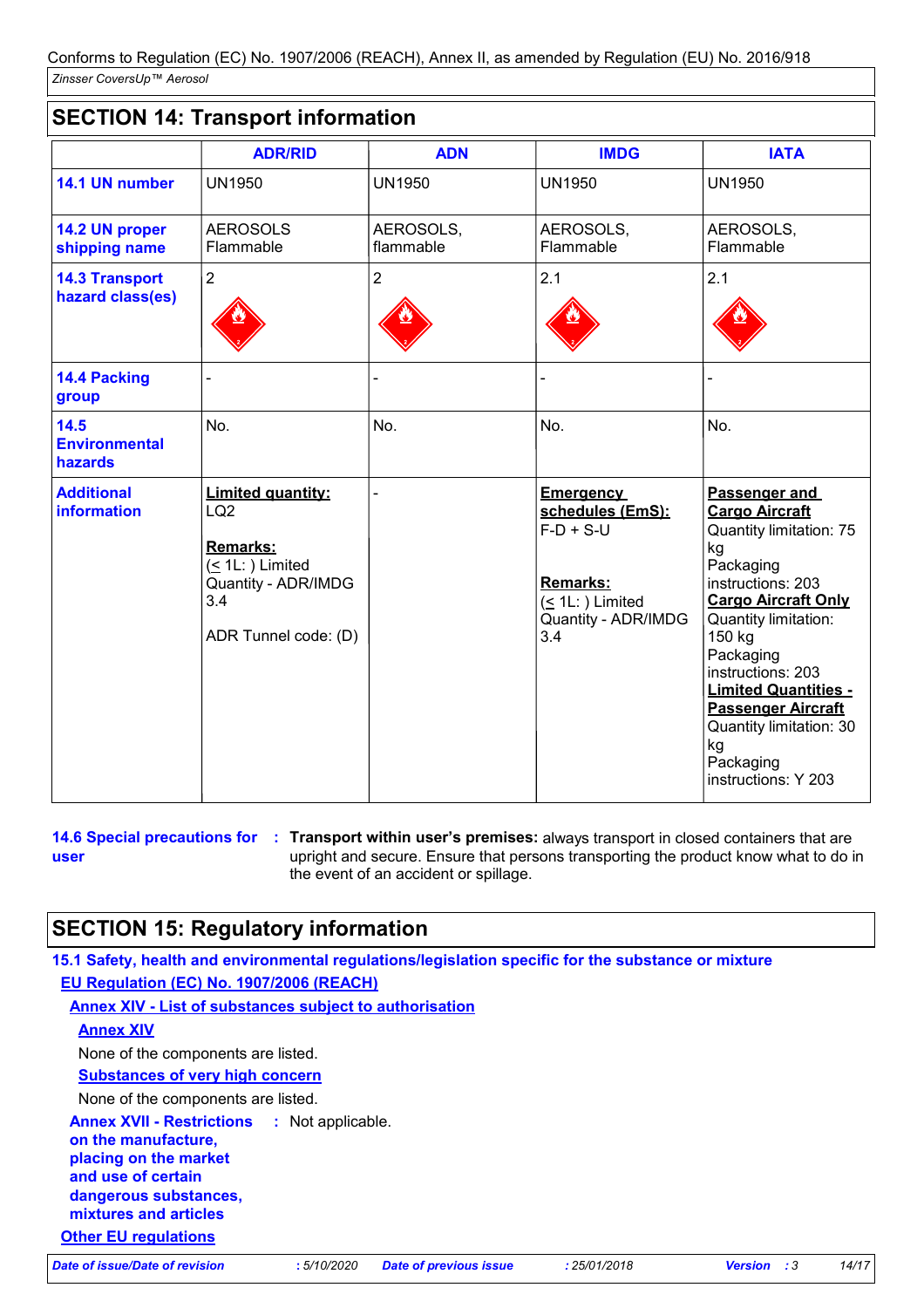# **SECTION 14: Transport information**

|                                           | <b>ADR/RID</b>                                                                                                                       | <b>ADN</b>             | <b>IMDG</b>                                                                                                          | <b>IATA</b>                                                                                                                                                                                                                                                                                                                                  |
|-------------------------------------------|--------------------------------------------------------------------------------------------------------------------------------------|------------------------|----------------------------------------------------------------------------------------------------------------------|----------------------------------------------------------------------------------------------------------------------------------------------------------------------------------------------------------------------------------------------------------------------------------------------------------------------------------------------|
| 14.1 UN number                            | <b>UN1950</b>                                                                                                                        | <b>UN1950</b>          | <b>UN1950</b>                                                                                                        | <b>UN1950</b>                                                                                                                                                                                                                                                                                                                                |
| 14.2 UN proper<br>shipping name           | <b>AEROSOLS</b><br>Flammable                                                                                                         | AEROSOLS,<br>flammable | AEROSOLS,<br>Flammable                                                                                               | AEROSOLS,<br>Flammable                                                                                                                                                                                                                                                                                                                       |
| <b>14.3 Transport</b><br>hazard class(es) | $\overline{2}$                                                                                                                       | $\overline{2}$         | 2.1                                                                                                                  | 2.1                                                                                                                                                                                                                                                                                                                                          |
| <b>14.4 Packing</b><br>group              |                                                                                                                                      |                        |                                                                                                                      |                                                                                                                                                                                                                                                                                                                                              |
| 14.5<br><b>Environmental</b><br>hazards   | No.                                                                                                                                  | No.                    | No.                                                                                                                  | No.                                                                                                                                                                                                                                                                                                                                          |
| <b>Additional</b><br><b>information</b>   | <b>Limited quantity:</b><br>LQ <sub>2</sub><br>Remarks:<br>$($ 1L: $)$ Limited<br>Quantity - ADR/IMDG<br>3.4<br>ADR Tunnel code: (D) |                        | <b>Emergency</b><br>schedules (EmS):<br>$F-D + S-U$<br>Remarks:<br>$($ 1L: $)$ Limited<br>Quantity - ADR/IMDG<br>3.4 | Passenger and<br><b>Cargo Aircraft</b><br>Quantity limitation: 75<br>kg<br>Packaging<br>instructions: 203<br><b>Cargo Aircraft Only</b><br>Quantity limitation:<br>150 kg<br>Packaging<br>instructions: 203<br><b>Limited Quantities -</b><br><b>Passenger Aircraft</b><br>Quantity limitation: 30<br>kg<br>Packaging<br>instructions: Y 203 |

#### **14.6 Special precautions for user**

**Transport within user's premises:** always transport in closed containers that are **:** upright and secure. Ensure that persons transporting the product know what to do in the event of an accident or spillage.

# **SECTION 15: Regulatory information**

**15.1 Safety, health and environmental regulations/legislation specific for the substance or mixture EU Regulation (EC) No. 1907/2006 (REACH)**

**Annex XIV - List of substances subject to authorisation**

**Annex XIV**

None of the components are listed.

**Substances of very high concern**

None of the components are listed.

**Other EU regulations Annex XVII - Restrictions on the manufacture, placing on the market and use of certain dangerous substances, mixtures and articles :**

*Date of issue/Date of revision* **:** *5/10/2020 Date of previous issue : 25/01/2018 Version : 3 14/17*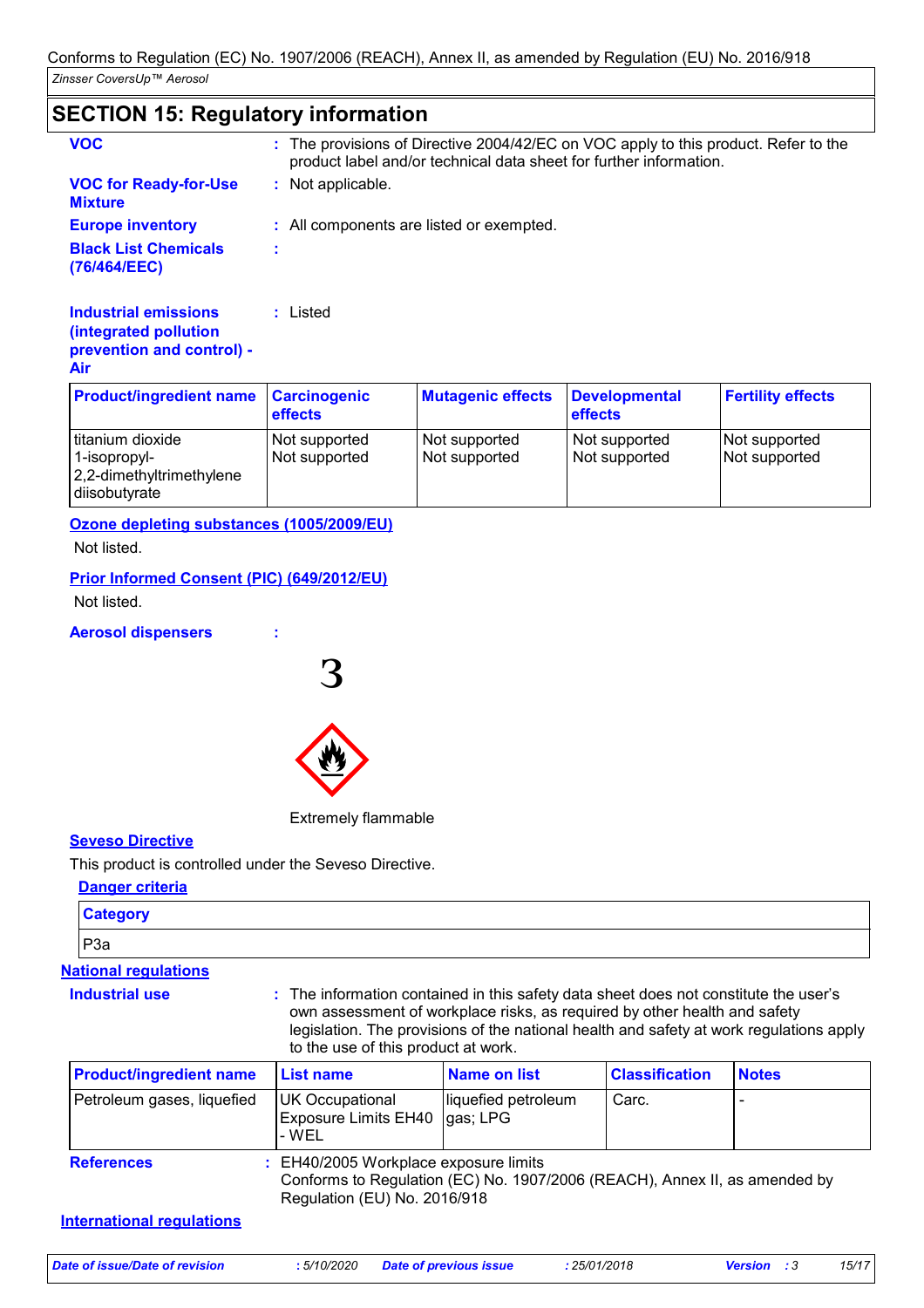# **SECTION 15: Regulatory information**

**:** Listed

| : The provisions of Directive 2004/42/EC on VOC apply to this product. Refer to the<br>product label and/or technical data sheet for further information. |
|-----------------------------------------------------------------------------------------------------------------------------------------------------------|
| : Not applicable.                                                                                                                                         |
| : All components are listed or exempted.                                                                                                                  |
|                                                                                                                                                           |
|                                                                                                                                                           |

#### **Industrial emissions (integrated pollution prevention and control) - Air**

| <b>Product/ingredient name Carcinogenic</b>                                   | effects                        | <b>Mutagenic effects</b>       | Developmental<br>effects       | <b>Fertility effects</b>       |
|-------------------------------------------------------------------------------|--------------------------------|--------------------------------|--------------------------------|--------------------------------|
| titanium dioxide<br>1-isopropyl-<br>2,2-dimethyltrimethylene<br>diisobutyrate | Not supported<br>Not supported | Not supported<br>Not supported | Not supported<br>Not supported | Not supported<br>Not supported |

**Ozone depleting substances (1005/2009/EU)**

Not listed.

## **Prior Informed Consent (PIC) (649/2012/EU)**

Not listed.

### **Aerosol dispensers :**



Extremely flammable

## **Seveso Directive**

This product is controlled under the Seveso Directive.

## **Danger criteria**

| <b>Category</b>                |                                                                                                                                                                                                                                                                                                     |                                 |                       |              |
|--------------------------------|-----------------------------------------------------------------------------------------------------------------------------------------------------------------------------------------------------------------------------------------------------------------------------------------------------|---------------------------------|-----------------------|--------------|
| P <sub>3</sub> a               |                                                                                                                                                                                                                                                                                                     |                                 |                       |              |
| <b>National regulations</b>    |                                                                                                                                                                                                                                                                                                     |                                 |                       |              |
| <b>Industrial use</b>          | : The information contained in this safety data sheet does not constitute the user's<br>own assessment of workplace risks, as required by other health and safety<br>legislation. The provisions of the national health and safety at work regulations apply<br>to the use of this product at work. |                                 |                       |              |
| <b>Product/ingredient name</b> | <b>List name</b>                                                                                                                                                                                                                                                                                    | <b>Name on list</b>             | <b>Classification</b> | <b>Notes</b> |
| Petroleum gases, liquefied     | UK Occupational<br><b>Exposure Limits EH40</b><br>- WEL                                                                                                                                                                                                                                             | liquefied petroleum<br>gas; LPG | Carc.                 |              |

| <b>References</b> | : EH40/2005 Workplace exposure limits<br>Conforms to Regulation (EC) No. 1907/2006 (REACH), Annex II, as amended by<br>Regulation (EU) No. 2016/918 |
|-------------------|-----------------------------------------------------------------------------------------------------------------------------------------------------|
|                   |                                                                                                                                                     |

### **International regulations**

*Date of issue/Date of revision* **:** *5/10/2020 Date of previous issue : 25/01/2018 Version : 3 15/17*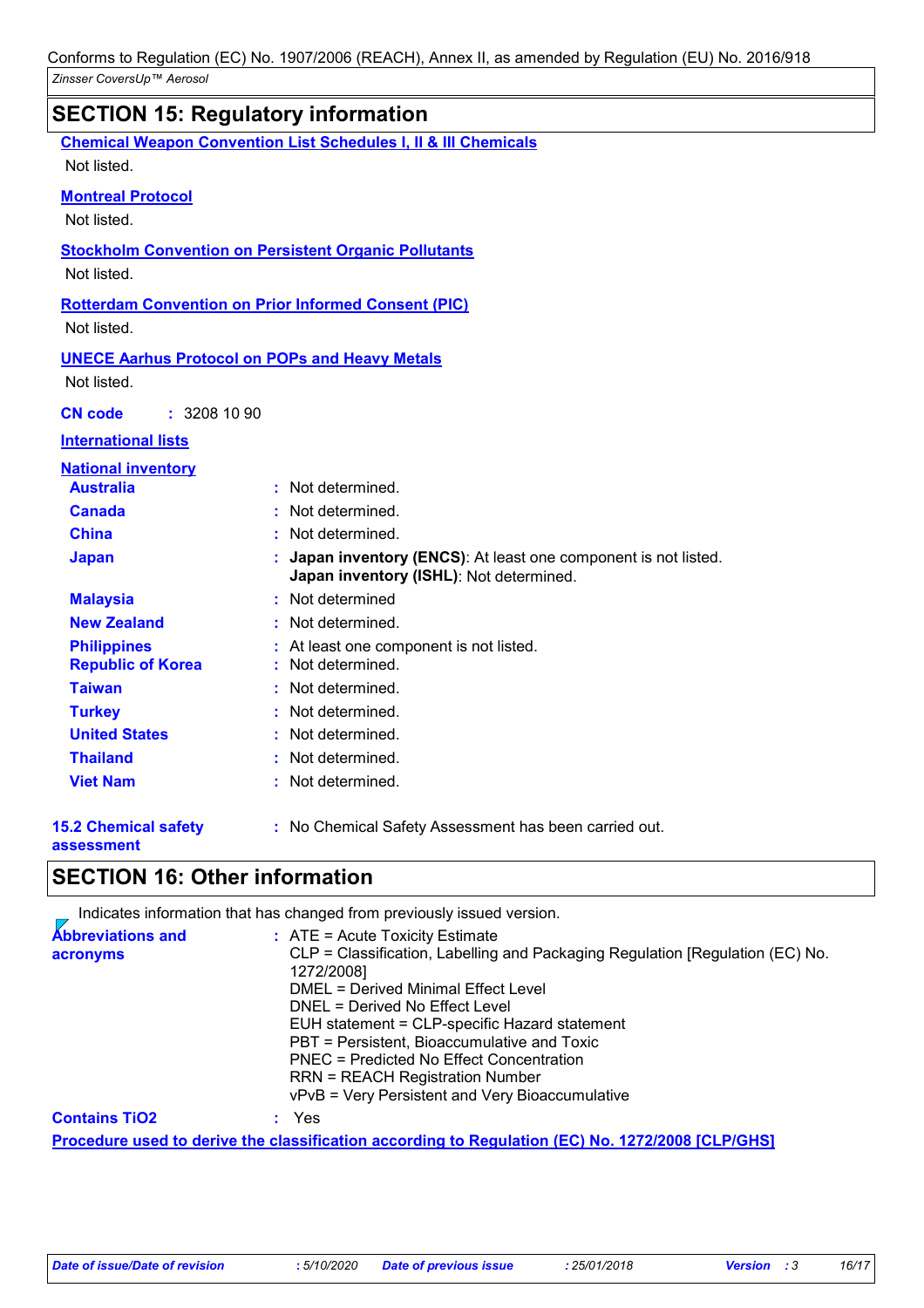|                                                | <b>SECTION 15: Regulatory information</b>                                                                |  |
|------------------------------------------------|----------------------------------------------------------------------------------------------------------|--|
|                                                | <b>Chemical Weapon Convention List Schedules I, II &amp; III Chemicals</b>                               |  |
| Not listed.                                    |                                                                                                          |  |
| <b>Montreal Protocol</b><br>Not listed.        |                                                                                                          |  |
| Not listed.                                    | <b>Stockholm Convention on Persistent Organic Pollutants</b>                                             |  |
| Not listed.                                    | <b>Rotterdam Convention on Prior Informed Consent (PIC)</b>                                              |  |
| Not listed.                                    | <b>UNECE Aarhus Protocol on POPs and Heavy Metals</b>                                                    |  |
| : 32081090<br><b>CN</b> code                   |                                                                                                          |  |
| <b>International lists</b>                     |                                                                                                          |  |
| <b>National inventory</b>                      |                                                                                                          |  |
| <b>Australia</b>                               | : Not determined.                                                                                        |  |
| <b>Canada</b>                                  | : Not determined.                                                                                        |  |
| <b>China</b>                                   | : Not determined.                                                                                        |  |
| <b>Japan</b>                                   | Japan inventory (ENCS): At least one component is not listed.<br>Japan inventory (ISHL): Not determined. |  |
| <b>Malaysia</b>                                | : Not determined                                                                                         |  |
| <b>New Zealand</b>                             | : Not determined.                                                                                        |  |
| <b>Philippines</b><br><b>Republic of Korea</b> | : At least one component is not listed.<br>: Not determined.                                             |  |
| <b>Taiwan</b>                                  | : Not determined.                                                                                        |  |
| <b>Turkey</b>                                  | : Not determined.                                                                                        |  |
| <b>United States</b>                           | : Not determined.                                                                                        |  |
| <b>Thailand</b>                                | Not determined.                                                                                          |  |
| <b>Viet Nam</b>                                | : Not determined.                                                                                        |  |
| <b>15.2 Chemical safety</b>                    | : No Chemical Safety Assessment has been carried out.                                                    |  |

# **assessment**

# **SECTION 16: Other information**

Indicates information that has changed from previously issued version. **Abbreviations and acronyms :** ATE = Acute Toxicity Estimate CLP = Classification, Labelling and Packaging Regulation [Regulation (EC) No. 1272/2008] DMEL = Derived Minimal Effect Level DNEL = Derived No Effect Level EUH statement = CLP-specific Hazard statement PBT = Persistent, Bioaccumulative and Toxic PNEC = Predicted No Effect Concentration RRN = REACH Registration Number vPvB = Very Persistent and Very Bioaccumulative **Procedure used to derive the classification according to Regulation (EC) No. 1272/2008 [CLP/GHS] Contains TiO2 :** Yes